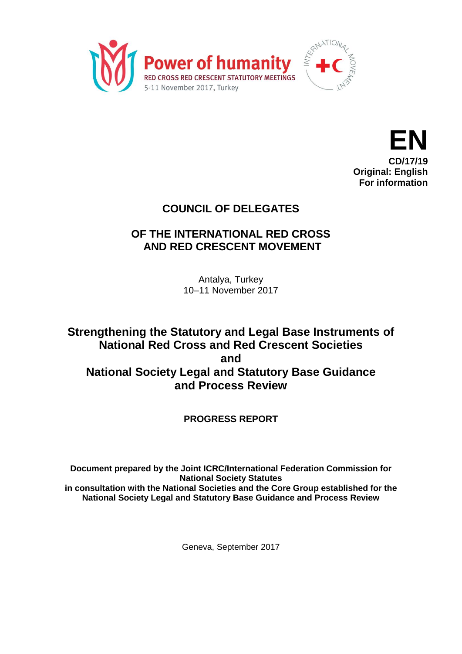



# **COUNCIL OF DELEGATES**

# **OF THE INTERNATIONAL RED CROSS AND RED CRESCENT MOVEMENT**

Antalya, Turkey 10–11 November 2017

**Strengthening the Statutory and Legal Base Instruments of National Red Cross and Red Crescent Societies and National Society Legal and Statutory Base Guidance and Process Review**

**PROGRESS REPORT**

**Document prepared by the Joint ICRC/International Federation Commission for National Society Statutes in consultation with the National Societies and the Core Group established for the National Society Legal and Statutory Base Guidance and Process Review**

Geneva, September 2017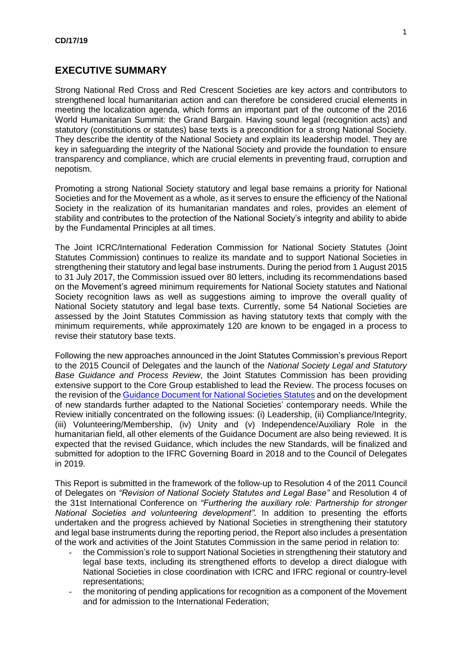# **EXECUTIVE SUMMARY**

Strong National Red Cross and Red Crescent Societies are key actors and contributors to strengthened local humanitarian action and can therefore be considered crucial elements in meeting the localization agenda, which forms an important part of the outcome of the 2016 World Humanitarian Summit: the Grand Bargain. Having sound legal (recognition acts) and statutory (constitutions or statutes) base texts is a precondition for a strong National Society. They describe the identity of the National Society and explain its leadership model. They are key in safeguarding the integrity of the National Society and provide the foundation to ensure transparency and compliance, which are crucial elements in preventing fraud, corruption and nepotism.

Promoting a strong National Society statutory and legal base remains a priority for National Societies and for the Movement as a whole, as it serves to ensure the efficiency of the National Society in the realization of its humanitarian mandates and roles, provides an element of stability and contributes to the protection of the National Society's integrity and ability to abide by the Fundamental Principles at all times.

The Joint ICRC/International Federation Commission for National Society Statutes (Joint Statutes Commission) continues to realize its mandate and to support National Societies in strengthening their statutory and legal base instruments. During the period from 1 August 2015 to 31 July 2017, the Commission issued over 80 letters, including its recommendations based on the Movement's agreed minimum requirements for National Society statutes and National Society recognition laws as well as suggestions aiming to improve the overall quality of National Society statutory and legal base texts. Currently, some 54 National Societies are assessed by the Joint Statutes Commission as having statutory texts that comply with the minimum requirements, while approximately 120 are known to be engaged in a process to revise their statutory base texts.

Following the new approaches announced in the Joint Statutes Commission's previous Report to the 2015 Council of Delegates and the launch of the *National Society Legal and Statutory Base Guidance and Process Review*, the Joint Statutes Commission has been providing extensive support to the Core Group established to lead the Review. The process focuses on the revision of th[e Guidance Document for National Societies](https://fednet.ifrc.org/PageFiles/81023/JSC_GuidanceDoc_rev_EN.pdf) Statutes and on the development of new standards further adapted to the National Societies' contemporary needs. While the Review initially concentrated on the following issues: (i) Leadership, (ii) Compliance/Integrity, (iii) Volunteering/Membership, (iv) Unity and (v) Independence/Auxiliary Role in the humanitarian field, all other elements of the Guidance Document are also being reviewed. It is expected that the revised Guidance, which includes the new Standards, will be finalized and submitted for adoption to the IFRC Governing Board in 2018 and to the Council of Delegates in 2019.

This Report is submitted in the framework of the follow-up to Resolution 4 of the 2011 Council of Delegates on *"Revision of National Society Statutes and Legal Base"* and Resolution 4 of the 31st International Conference on *"Furthering the auxiliary role: Partnership for stronger National Societies and volunteering development"*. In addition to presenting the efforts undertaken and the progress achieved by National Societies in strengthening their statutory and legal base instruments during the reporting period, the Report also includes a presentation of the work and activities of the Joint Statutes Commission in the same period in relation to:

- the Commission's role to support National Societies in strengthening their statutory and legal base texts, including its strengthened efforts to develop a direct dialogue with National Societies in close coordination with ICRC and IFRC regional or country-level representations;
- the monitoring of pending applications for recognition as a component of the Movement and for admission to the International Federation;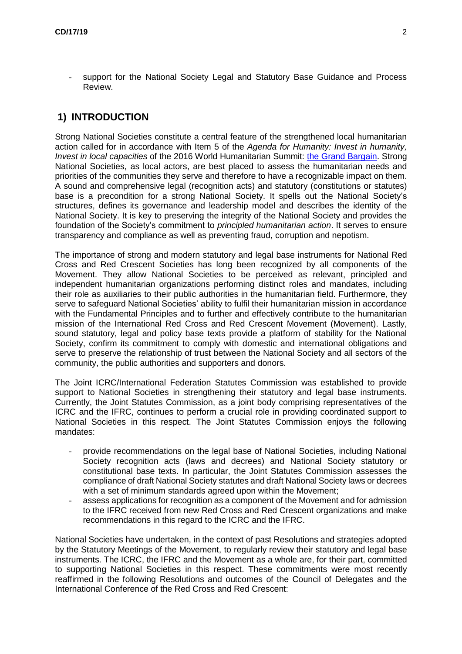support for the National Society Legal and Statutory Base Guidance and Process Review.

# **1) INTRODUCTION**

Strong National Societies constitute a central feature of the strengthened local humanitarian action called for in accordance with Item 5 of the *Agenda for Humanity: Invest in humanity, Invest in local capacities* of the 2016 World Humanitarian Summit: [the Grand Bargain.](http://www.agendaforhumanity.org/initiatives/3861) Strong National Societies, as local actors, are best placed to assess the humanitarian needs and priorities of the communities they serve and therefore to have a recognizable impact on them. A sound and comprehensive legal (recognition acts) and statutory (constitutions or statutes) base is a precondition for a strong National Society. It spells out the National Society's structures, defines its governance and leadership model and describes the identity of the National Society. It is key to preserving the integrity of the National Society and provides the foundation of the Society's commitment to *principled humanitarian action*. It serves to ensure transparency and compliance as well as preventing fraud, corruption and nepotism.

The importance of strong and modern statutory and legal base instruments for National Red Cross and Red Crescent Societies has long been recognized by all components of the Movement. They allow National Societies to be perceived as relevant, principled and independent humanitarian organizations performing distinct roles and mandates, including their role as auxiliaries to their public authorities in the humanitarian field. Furthermore, they serve to safeguard National Societies' ability to fulfil their humanitarian mission in accordance with the Fundamental Principles and to further and effectively contribute to the humanitarian mission of the International Red Cross and Red Crescent Movement (Movement). Lastly, sound statutory, legal and policy base texts provide a platform of stability for the National Society, confirm its commitment to comply with domestic and international obligations and serve to preserve the relationship of trust between the National Society and all sectors of the community, the public authorities and supporters and donors.

The Joint ICRC/International Federation Statutes Commission was established to provide support to National Societies in strengthening their statutory and legal base instruments. Currently, the Joint Statutes Commission, as a joint body comprising representatives of the ICRC and the IFRC, continues to perform a crucial role in providing coordinated support to National Societies in this respect. The Joint Statutes Commission enjoys the following mandates:

- provide recommendations on the legal base of National Societies, including National Society recognition acts (laws and decrees) and National Society statutory or constitutional base texts. In particular, the Joint Statutes Commission assesses the compliance of draft National Society statutes and draft National Society laws or decrees with a set of minimum standards agreed upon within the Movement:
- assess applications for recognition as a component of the Movement and for admission to the IFRC received from new Red Cross and Red Crescent organizations and make recommendations in this regard to the ICRC and the IFRC.

National Societies have undertaken, in the context of past Resolutions and strategies adopted by the Statutory Meetings of the Movement, to regularly review their statutory and legal base instruments. The ICRC, the IFRC and the Movement as a whole are, for their part, committed to supporting National Societies in this respect. These commitments were most recently reaffirmed in the following Resolutions and outcomes of the Council of Delegates and the International Conference of the Red Cross and Red Crescent: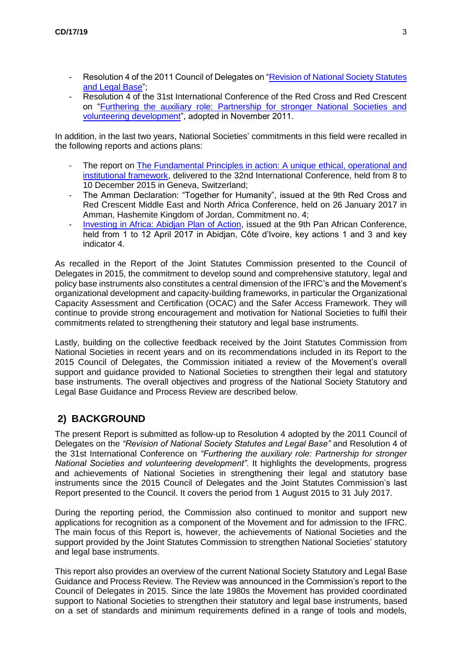- Resolution 4 of the 2011 Council of Delegates on ["Revision of National Society Statutes](https://fednet.ifrc.org/PageFiles/90345/CD11_R4_Statutes_EN.pdf)  [and Legal Base"](https://fednet.ifrc.org/PageFiles/90345/CD11_R4_Statutes_EN.pdf);
- Resolution 4 of the 31st International Conference of the Red Cross and Red Crescent on ["Furthering the auxiliary role: Partnership for stronger National Societies and](http://rcrcconference.org/wp-content/uploads/2015/03/R4_Auxiliary_Role_NS_EN.pdf)  [volunteering development"](http://rcrcconference.org/wp-content/uploads/2015/03/R4_Auxiliary_Role_NS_EN.pdf), adopted in November 2011.

In addition, in the last two years, National Societies' commitments in this field were recalled in the following reports and actions plans:

- The report on The Fundamental Principles in action: A unique ethical, operational and [institutional framework,](http://rcrcconference.org/wp-content/uploads/2015/10/32IC-Report-on-Fundamental-Principles__EN.pdf) delivered to the 32nd International Conference, held from 8 to 10 December 2015 in Geneva, Switzerland;
- The Amman Declaration: "Together for Humanity", issued at the 9th Red Cross and Red Crescent Middle East and North Africa Conference, held on 26 January 2017 in Amman, Hashemite Kingdom of Jordan, Commitment no. 4;
- [Investing in Africa: Abidjan Plan of Action,](http://www.9panafricainecrci.com/en/documents/QYGReODNdcm8hmrBqVnR.pdf) issued at the 9th Pan African Conference, held from 1 to 12 April 2017 in Abidjan, Côte d'Ivoire, key actions 1 and 3 and key indicator 4.

As recalled in the Report of the Joint Statutes Commission presented to the Council of Delegates in 2015, the commitment to develop sound and comprehensive statutory, legal and policy base instruments also constitutes a central dimension of the IFRC's and the Movement's organizational development and capacity-building frameworks, in particular the Organizational Capacity Assessment and Certification (OCAC) and the Safer Access Framework. They will continue to provide strong encouragement and motivation for National Societies to fulfil their commitments related to strengthening their statutory and legal base instruments.

Lastly, building on the collective feedback received by the Joint Statutes Commission from National Societies in recent years and on its recommendations included in its Report to the 2015 Council of Delegates, the Commission initiated a review of the Movement's overall support and guidance provided to National Societies to strengthen their legal and statutory base instruments. The overall objectives and progress of the National Society Statutory and Legal Base Guidance and Process Review are described below.

# **2) BACKGROUND**

The present Report is submitted as follow-up to Resolution 4 adopted by the 2011 Council of Delegates on the *"Revision of National Society Statutes and Legal Base"* and Resolution 4 of the 31st International Conference on *"Furthering the auxiliary role: Partnership for stronger National Societies and volunteering development"*. It highlights the developments, progress and achievements of National Societies in strengthening their legal and statutory base instruments since the 2015 Council of Delegates and the Joint Statutes Commission's last Report presented to the Council. It covers the period from 1 August 2015 to 31 July 2017.

During the reporting period, the Commission also continued to monitor and support new applications for recognition as a component of the Movement and for admission to the IFRC. The main focus of this Report is, however, the achievements of National Societies and the support provided by the Joint Statutes Commission to strengthen National Societies' statutory and legal base instruments.

This report also provides an overview of the current National Society Statutory and Legal Base Guidance and Process Review. The Review was announced in the Commission's report to the Council of Delegates in 2015. Since the late 1980s the Movement has provided coordinated support to National Societies to strengthen their statutory and legal base instruments, based on a set of standards and minimum requirements defined in a range of tools and models,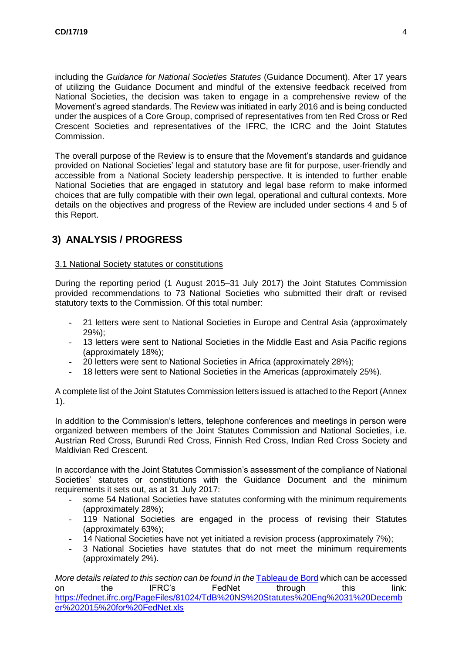including the *Guidance for National Societies Statutes* (Guidance Document). After 17 years of utilizing the Guidance Document and mindful of the extensive feedback received from National Societies, the decision was taken to engage in a comprehensive review of the Movement's agreed standards. The Review was initiated in early 2016 and is being conducted under the auspices of a Core Group, comprised of representatives from ten Red Cross or Red Crescent Societies and representatives of the IFRC, the ICRC and the Joint Statutes Commission.

The overall purpose of the Review is to ensure that the Movement's standards and guidance provided on National Societies' legal and statutory base are fit for purpose, user-friendly and accessible from a National Society leadership perspective. It is intended to further enable National Societies that are engaged in statutory and legal base reform to make informed choices that are fully compatible with their own legal, operational and cultural contexts. More details on the objectives and progress of the Review are included under sections 4 and 5 of this Report.

# **3) ANALYSIS / PROGRESS**

# 3.1 National Society statutes or constitutions

During the reporting period (1 August 2015–31 July 2017) the Joint Statutes Commission provided recommendations to 73 National Societies who submitted their draft or revised statutory texts to the Commission. Of this total number:

- 21 letters were sent to National Societies in Europe and Central Asia (approximately 29%);
- 13 letters were sent to National Societies in the Middle East and Asia Pacific regions (approximately 18%);
- 20 letters were sent to National Societies in Africa (approximately 28%);
- 18 letters were sent to National Societies in the Americas (approximately 25%).

A complete list of the Joint Statutes Commission letters issued is attached to the Report (Annex 1).

In addition to the Commission's letters, telephone conferences and meetings in person were organized between members of the Joint Statutes Commission and National Societies, i.e. Austrian Red Cross, Burundi Red Cross, Finnish Red Cross, Indian Red Cross Society and Maldivian Red Crescent.

In accordance with the Joint Statutes Commission's assessment of the compliance of National Societies' statutes or constitutions with the Guidance Document and the minimum requirements it sets out, as at 31 July 2017:

- some 54 National Societies have statutes conforming with the minimum requirements (approximately 28%);
- 119 National Societies are engaged in the process of revising their Statutes (approximately 63%);
- 14 National Societies have not yet initiated a revision process (approximately 7%);
- 3 National Societies have statutes that do not meet the minimum requirements (approximately 2%).

*More details related to this section can be found in the* [Tableau de Bord](https://fednet.ifrc.org/PageFiles/81024/TdB%20NS%20Statutes%20Eng%2031%20December%202015%20for%20FedNet.xls) which can be accessed on the IFRC's FedNet through this link: [https://fednet.ifrc.org/PageFiles/81024/TdB%20NS%20Statutes%20Eng%2031%20Decemb](https://fednet.ifrc.org/PageFiles/81024/TdB%20NS%20Statutes%20Eng%2031%20December%202015%20for%20FedNet.xls) [er%202015%20for%20FedNet.xls](https://fednet.ifrc.org/PageFiles/81024/TdB%20NS%20Statutes%20Eng%2031%20December%202015%20for%20FedNet.xls)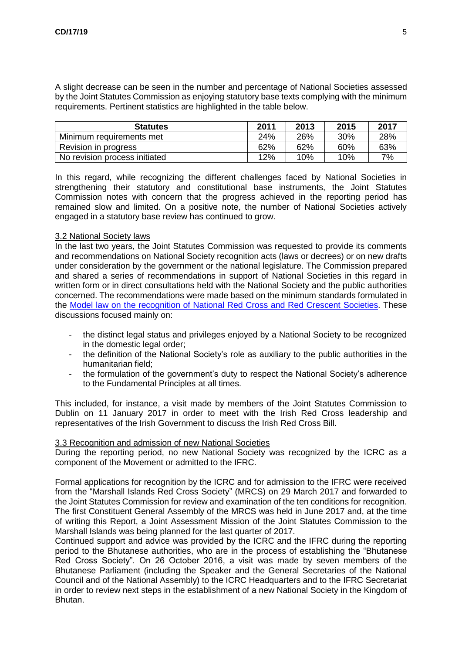A slight decrease can be seen in the number and percentage of National Societies assessed by the Joint Statutes Commission as enjoying statutory base texts complying with the minimum requirements. Pertinent statistics are highlighted in the table below.

| <b>Statutes</b>               | 2011 | 2013 | 2015 | 2017 |
|-------------------------------|------|------|------|------|
| Minimum requirements met      | 24%  | 26%  | 30%  | 28%  |
| Revision in progress          | 62%  | 62%  | 60%  | 63%  |
| No revision process initiated | 12%  | 10%  | 10%  | 7%   |

In this regard, while recognizing the different challenges faced by National Societies in strengthening their statutory and constitutional base instruments, the Joint Statutes Commission notes with concern that the progress achieved in the reporting period has remained slow and limited. On a positive note, the number of National Societies actively engaged in a statutory base review has continued to grow.

# 3.2 National Society laws

In the last two years, the Joint Statutes Commission was requested to provide its comments and recommendations on National Society recognition acts (laws or decrees) or on new drafts under consideration by the government or the national legislature. The Commission prepared and shared a series of recommendations in support of National Societies in this regard in written form or in direct consultations held with the National Society and the public authorities concerned. The recommendations were made based on the minimum standards formulated in the [Model law on the recognition of National Red Cross and Red Crescent Societies.](https://fednet.ifrc.org/PageFiles/81023/JSC_Model_Law_English.pdf) These discussions focused mainly on:

- the distinct legal status and privileges enjoyed by a National Society to be recognized in the domestic legal order;
- the definition of the National Society's role as auxiliary to the public authorities in the humanitarian field;
- the formulation of the government's duty to respect the National Society's adherence to the Fundamental Principles at all times.

This included, for instance, a visit made by members of the Joint Statutes Commission to Dublin on 11 January 2017 in order to meet with the Irish Red Cross leadership and representatives of the Irish Government to discuss the Irish Red Cross Bill.

# 3.3 Recognition and admission of new National Societies

During the reporting period, no new National Society was recognized by the ICRC as a component of the Movement or admitted to the IFRC.

Formal applications for recognition by the ICRC and for admission to the IFRC were received from the "Marshall Islands Red Cross Society" (MRCS) on 29 March 2017 and forwarded to the Joint Statutes Commission for review and examination of the ten conditions for recognition. The first Constituent General Assembly of the MRCS was held in June 2017 and, at the time of writing this Report, a Joint Assessment Mission of the Joint Statutes Commission to the Marshall Islands was being planned for the last quarter of 2017.

Continued support and advice was provided by the ICRC and the IFRC during the reporting period to the Bhutanese authorities, who are in the process of establishing the "Bhutanese Red Cross Society". On 26 October 2016, a visit was made by seven members of the Bhutanese Parliament (including the Speaker and the General Secretaries of the National Council and of the National Assembly) to the ICRC Headquarters and to the IFRC Secretariat in order to review next steps in the establishment of a new National Society in the Kingdom of Bhutan.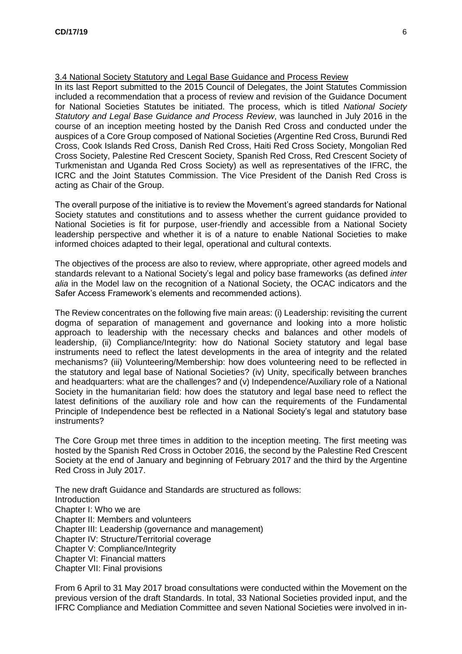# 3.4 National Society Statutory and Legal Base Guidance and Process Review

In its last Report submitted to the 2015 Council of Delegates, the Joint Statutes Commission included a recommendation that a process of review and revision of the Guidance Document for National Societies Statutes be initiated. The process, which is titled *National Society Statutory and Legal Base Guidance and Process Review*, was launched in July 2016 in the course of an inception meeting hosted by the Danish Red Cross and conducted under the auspices of a Core Group composed of National Societies (Argentine Red Cross, Burundi Red Cross, Cook Islands Red Cross, Danish Red Cross, Haiti Red Cross Society, Mongolian Red Cross Society, Palestine Red Crescent Society, Spanish Red Cross, Red Crescent Society of Turkmenistan and Uganda Red Cross Society) as well as representatives of the IFRC, the ICRC and the Joint Statutes Commission. The Vice President of the Danish Red Cross is acting as Chair of the Group.

The overall purpose of the initiative is to review the Movement's agreed standards for National Society statutes and constitutions and to assess whether the current guidance provided to National Societies is fit for purpose, user-friendly and accessible from a National Society leadership perspective and whether it is of a nature to enable National Societies to make informed choices adapted to their legal, operational and cultural contexts.

The objectives of the process are also to review, where appropriate, other agreed models and standards relevant to a National Society's legal and policy base frameworks (as defined *inter alia* in the Model law on the recognition of a National Society, the OCAC indicators and the Safer Access Framework's elements and recommended actions).

The Review concentrates on the following five main areas: (i) Leadership: revisiting the current dogma of separation of management and governance and looking into a more holistic approach to leadership with the necessary checks and balances and other models of leadership, (ii) Compliance/Integrity: how do National Society statutory and legal base instruments need to reflect the latest developments in the area of integrity and the related mechanisms? (iii) Volunteering/Membership: how does volunteering need to be reflected in the statutory and legal base of National Societies? (iv) Unity, specifically between branches and headquarters: what are the challenges? and (v) Independence/Auxiliary role of a National Society in the humanitarian field: how does the statutory and legal base need to reflect the latest definitions of the auxiliary role and how can the requirements of the Fundamental Principle of Independence best be reflected in a National Society's legal and statutory base instruments?

The Core Group met three times in addition to the inception meeting. The first meeting was hosted by the Spanish Red Cross in October 2016, the second by the Palestine Red Crescent Society at the end of January and beginning of February 2017 and the third by the Argentine Red Cross in July 2017.

The new draft Guidance and Standards are structured as follows: **Introduction** Chapter I: Who we are Chapter II: Members and volunteers Chapter III: Leadership (governance and management) Chapter IV: Structure/Territorial coverage Chapter V: Compliance/Integrity Chapter VI: Financial matters Chapter VII: Final provisions

From 6 April to 31 May 2017 broad consultations were conducted within the Movement on the previous version of the draft Standards. In total, 33 National Societies provided input, and the IFRC Compliance and Mediation Committee and seven National Societies were involved in in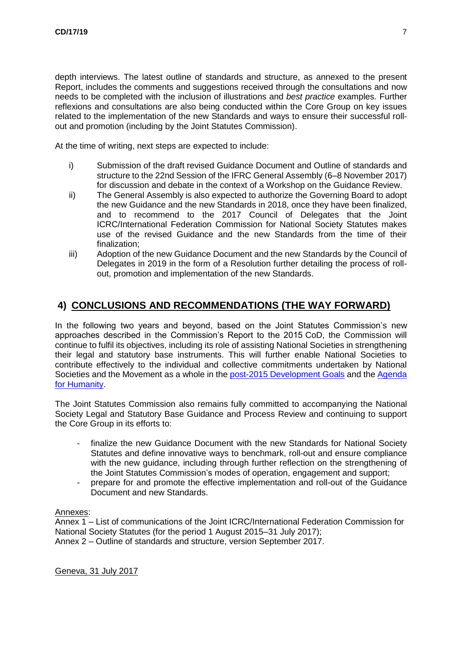depth interviews. The latest outline of standards and structure, as annexed to the present Report, includes the comments and suggestions received through the consultations and now needs to be completed with the inclusion of illustrations and *best practice* examples. Further reflexions and consultations are also being conducted within the Core Group on key issues related to the implementation of the new Standards and ways to ensure their successful rollout and promotion (including by the Joint Statutes Commission).

At the time of writing, next steps are expected to include:

- i) Submission of the draft revised Guidance Document and Outline of standards and structure to the 22nd Session of the IFRC General Assembly (6–8 November 2017) for discussion and debate in the context of a Workshop on the Guidance Review.
- ii) The General Assembly is also expected to authorize the Governing Board to adopt the new Guidance and the new Standards in 2018, once they have been finalized, and to recommend to the 2017 Council of Delegates that the Joint ICRC/International Federation Commission for National Society Statutes makes use of the revised Guidance and the new Standards from the time of their finalization;
- iii) Adoption of the new Guidance Document and the new Standards by the Council of Delegates in 2019 in the form of a Resolution further detailing the process of rollout, promotion and implementation of the new Standards.

# **4) CONCLUSIONS AND RECOMMENDATIONS (THE WAY FORWARD)**

In the following two years and beyond, based on the Joint Statutes Commission's new approaches described in the Commission's Report to the 2015 CoD, the Commission will continue to fulfil its objectives, including its role of assisting National Societies in strengthening their legal and statutory base instruments. This will further enable National Societies to contribute effectively to the individual and collective commitments undertaken by National Societies and the Movement as a whole in the [post-2015 Development Goals](http://www.un.org/en/ecosoc/about/mdg.shtml) and the [Agenda](http://www.agendaforhumanity.org/)  [for Humanity.](http://www.agendaforhumanity.org/)

The Joint Statutes Commission also remains fully committed to accompanying the National Society Legal and Statutory Base Guidance and Process Review and continuing to support the Core Group in its efforts to:

- finalize the new Guidance Document with the new Standards for National Society Statutes and define innovative ways to benchmark, roll-out and ensure compliance with the new guidance, including through further reflection on the strengthening of the Joint Statutes Commission's modes of operation, engagement and support;
- prepare for and promote the effective implementation and roll-out of the Guidance Document and new Standards.

# Annexes:

Annex 1 – List of communications of the Joint ICRC/International Federation Commission for National Society Statutes (for the period 1 August 2015–31 July 2017); Annex 2 – Outline of standards and structure, version September 2017.

Geneva, 31 July 2017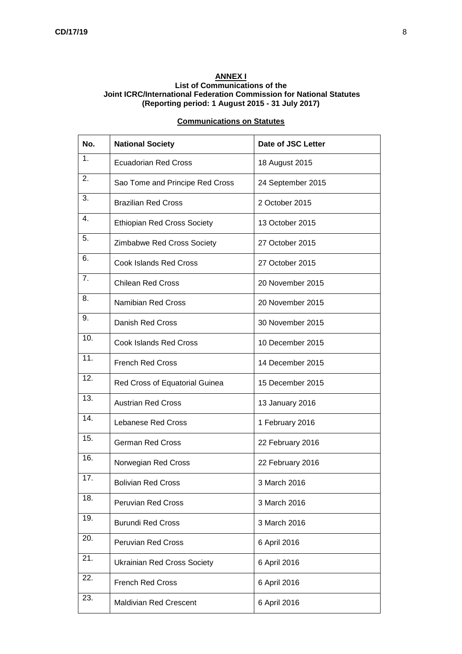# **ANNEX I**

# **List of Communications of the Joint ICRC/International Federation Commission for National Statutes (Reporting period: 1 August 2015 - 31 July 2017)**

# **Communications on Statutes**

| No. | <b>National Society</b>            | Date of JSC Letter |
|-----|------------------------------------|--------------------|
| 1.  | <b>Ecuadorian Red Cross</b>        | 18 August 2015     |
| 2.  | Sao Tome and Principe Red Cross    | 24 September 2015  |
| 3.  | <b>Brazilian Red Cross</b>         | 2 October 2015     |
| 4.  | <b>Ethiopian Red Cross Society</b> | 13 October 2015    |
| 5.  | Zimbabwe Red Cross Society         | 27 October 2015    |
| 6.  | <b>Cook Islands Red Cross</b>      | 27 October 2015    |
| 7.  | <b>Chilean Red Cross</b>           | 20 November 2015   |
| 8.  | <b>Namibian Red Cross</b>          | 20 November 2015   |
| 9.  | Danish Red Cross                   | 30 November 2015   |
| 10. | <b>Cook Islands Red Cross</b>      | 10 December 2015   |
| 11. | <b>French Red Cross</b>            | 14 December 2015   |
| 12. | Red Cross of Equatorial Guinea     | 15 December 2015   |
| 13. | <b>Austrian Red Cross</b>          | 13 January 2016    |
| 14. | <b>Lebanese Red Cross</b>          | 1 February 2016    |
| 15. | <b>German Red Cross</b>            | 22 February 2016   |
| 16. | Norwegian Red Cross                | 22 February 2016   |
| 17. | <b>Bolivian Red Cross</b>          | 3 March 2016       |
| 18. | <b>Peruvian Red Cross</b>          | 3 March 2016       |
| 19. | <b>Burundi Red Cross</b>           | 3 March 2016       |
| 20. | <b>Peruvian Red Cross</b>          | 6 April 2016       |
| 21. | <b>Ukrainian Red Cross Society</b> | 6 April 2016       |
| 22. | <b>French Red Cross</b>            | 6 April 2016       |
| 23. | <b>Maldivian Red Crescent</b>      | 6 April 2016       |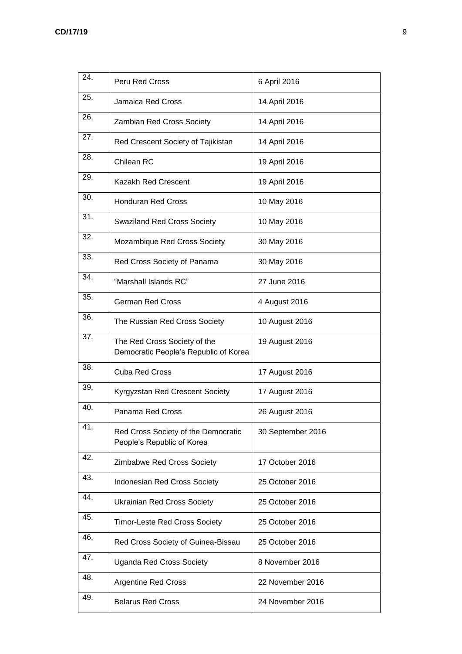**CD/17/19** 9

| 24. | Peru Red Cross                                                        | 6 April 2016      |
|-----|-----------------------------------------------------------------------|-------------------|
| 25. | Jamaica Red Cross                                                     | 14 April 2016     |
| 26. | <b>Zambian Red Cross Society</b>                                      | 14 April 2016     |
| 27. | Red Crescent Society of Tajikistan                                    | 14 April 2016     |
| 28. | Chilean RC                                                            | 19 April 2016     |
| 29. | Kazakh Red Crescent                                                   | 19 April 2016     |
| 30. | <b>Honduran Red Cross</b>                                             | 10 May 2016       |
| 31. | <b>Swaziland Red Cross Society</b>                                    | 10 May 2016       |
| 32. | Mozambique Red Cross Society                                          | 30 May 2016       |
| 33. | Red Cross Society of Panama                                           | 30 May 2016       |
| 34. | "Marshall Islands RC"                                                 | 27 June 2016      |
| 35. | <b>German Red Cross</b>                                               | 4 August 2016     |
| 36. | The Russian Red Cross Society                                         | 10 August 2016    |
| 37. | The Red Cross Society of the<br>Democratic People's Republic of Korea | 19 August 2016    |
| 38. | <b>Cuba Red Cross</b>                                                 | 17 August 2016    |
| 39. | Kyrgyzstan Red Crescent Society                                       | 17 August 2016    |
| 40. | Panama Red Cross                                                      | 26 August 2016    |
| 41. | Red Cross Society of the Democratic<br>People's Republic of Korea     | 30 September 2016 |
| 42. | Zimbabwe Red Cross Society                                            | 17 October 2016   |
| 43. | <b>Indonesian Red Cross Society</b>                                   | 25 October 2016   |
| 44. | <b>Ukrainian Red Cross Society</b>                                    | 25 October 2016   |
| 45. | <b>Timor-Leste Red Cross Society</b>                                  | 25 October 2016   |
| 46. | Red Cross Society of Guinea-Bissau                                    | 25 October 2016   |
| 47. | <b>Uganda Red Cross Society</b>                                       | 8 November 2016   |
| 48. | <b>Argentine Red Cross</b>                                            | 22 November 2016  |
| 49. | <b>Belarus Red Cross</b>                                              | 24 November 2016  |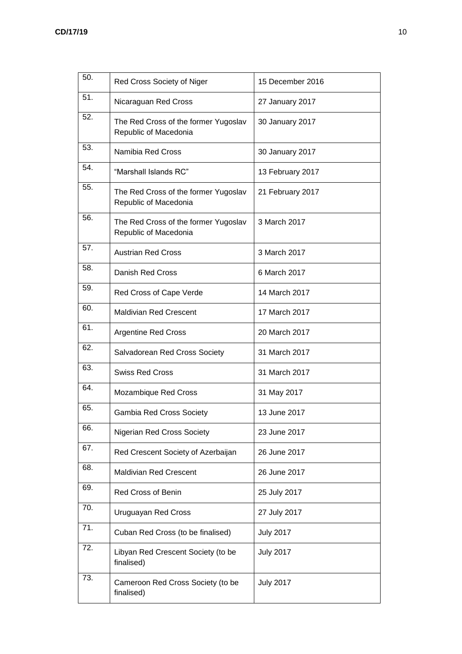| 50. | Red Cross Society of Niger                                    | 15 December 2016 |
|-----|---------------------------------------------------------------|------------------|
| 51. | Nicaraguan Red Cross                                          | 27 January 2017  |
| 52. | The Red Cross of the former Yugoslav<br>Republic of Macedonia | 30 January 2017  |
| 53. | Namibia Red Cross                                             | 30 January 2017  |
| 54. | "Marshall Islands RC"                                         | 13 February 2017 |
| 55. | The Red Cross of the former Yugoslav<br>Republic of Macedonia | 21 February 2017 |
| 56. | The Red Cross of the former Yugoslav<br>Republic of Macedonia | 3 March 2017     |
| 57. | <b>Austrian Red Cross</b>                                     | 3 March 2017     |
| 58. | <b>Danish Red Cross</b>                                       | 6 March 2017     |
| 59. | Red Cross of Cape Verde                                       | 14 March 2017    |
| 60. | <b>Maldivian Red Crescent</b>                                 | 17 March 2017    |
| 61. | <b>Argentine Red Cross</b>                                    | 20 March 2017    |
| 62. | Salvadorean Red Cross Society                                 | 31 March 2017    |
| 63. | <b>Swiss Red Cross</b>                                        | 31 March 2017    |
| 64. | Mozambique Red Cross                                          | 31 May 2017      |
| 65. | <b>Gambia Red Cross Society</b>                               | 13 June 2017     |
| 66. | Nigerian Red Cross Society                                    | 23 June 2017     |
| 67. | Red Crescent Society of Azerbaijan                            | 26 June 2017     |
| 68. | <b>Maldivian Red Crescent</b>                                 | 26 June 2017     |
| 69. | <b>Red Cross of Benin</b>                                     | 25 July 2017     |
| 70. | Uruguayan Red Cross                                           | 27 July 2017     |
| 71. | Cuban Red Cross (to be finalised)                             | <b>July 2017</b> |
| 72. | Libyan Red Crescent Society (to be<br>finalised)              | <b>July 2017</b> |
| 73. | Cameroon Red Cross Society (to be<br>finalised)               | <b>July 2017</b> |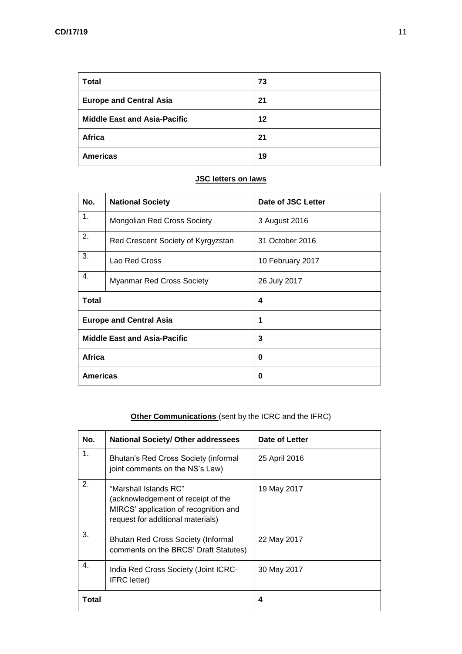| <b>Total</b>                        | 73 |
|-------------------------------------|----|
| <b>Europe and Central Asia</b>      | 21 |
| <b>Middle East and Asia-Pacific</b> | 12 |
| <b>Africa</b>                       | 21 |
| <b>Americas</b>                     | 19 |

# **JSC letters on laws**

| No.             | <b>National Society</b>             | Date of JSC Letter |
|-----------------|-------------------------------------|--------------------|
| 1.              | <b>Mongolian Red Cross Society</b>  | 3 August 2016      |
| 2.              | Red Crescent Society of Kyrgyzstan  | 31 October 2016    |
| 3.              | Lao Red Cross                       | 10 February 2017   |
| 4.              | <b>Myanmar Red Cross Society</b>    | 26 July 2017       |
| Total           |                                     | 4                  |
|                 | <b>Europe and Central Asia</b>      | 1                  |
|                 | <b>Middle East and Asia-Pacific</b> | 3                  |
| Africa          |                                     | 0                  |
| <b>Americas</b> |                                     | 0                  |

# **Other Communications** (sent by the ICRC and the IFRC)

| No.   | <b>National Society/ Other addressees</b>                                                                                                 | Date of Letter |
|-------|-------------------------------------------------------------------------------------------------------------------------------------------|----------------|
| 1.    | Bhutan's Red Cross Society (informal<br>joint comments on the NS's Law)                                                                   | 25 April 2016  |
| 2.    | "Marshall Islands RC"<br>(acknowledgement of receipt of the<br>MIRCS' application of recognition and<br>request for additional materials) | 19 May 2017    |
| 3.    | Bhutan Red Cross Society (Informal<br>comments on the BRCS' Draft Statutes)                                                               | 22 May 2017    |
| 4.    | India Red Cross Society (Joint ICRC-<br><b>IFRC</b> letter)                                                                               | 30 May 2017    |
| Total |                                                                                                                                           | 4              |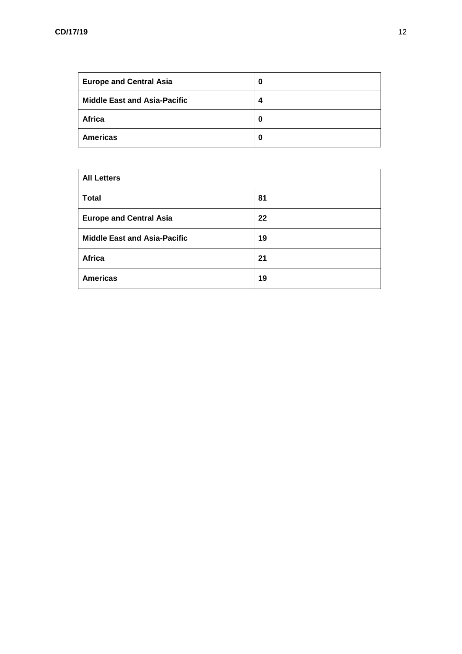| <b>Europe and Central Asia</b>      | 0 |
|-------------------------------------|---|
| <b>Middle East and Asia-Pacific</b> | 4 |
| <b>Africa</b>                       | 0 |
| <b>Americas</b>                     | 0 |

| <b>All Letters</b>                  |    |  |
|-------------------------------------|----|--|
| <b>Total</b>                        | 81 |  |
| <b>Europe and Central Asia</b>      | 22 |  |
| <b>Middle East and Asia-Pacific</b> | 19 |  |
| <b>Africa</b>                       | 21 |  |
| <b>Americas</b>                     | 19 |  |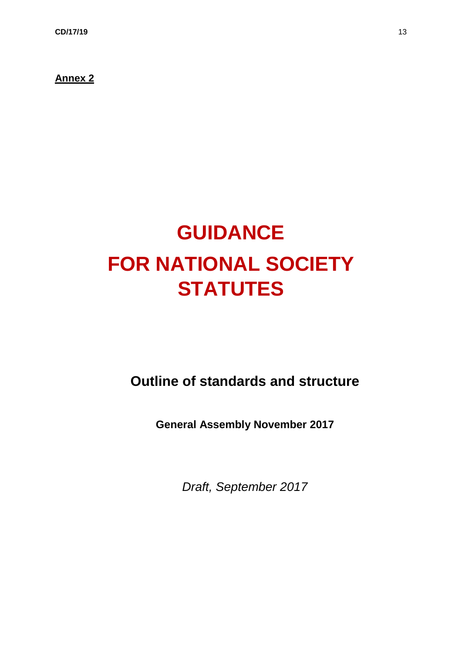**Annex 2**

# **GUIDANCE FOR NATIONAL SOCIETY STATUTES**

**Outline of standards and structure**

**General Assembly November 2017**

*Draft, September 2017*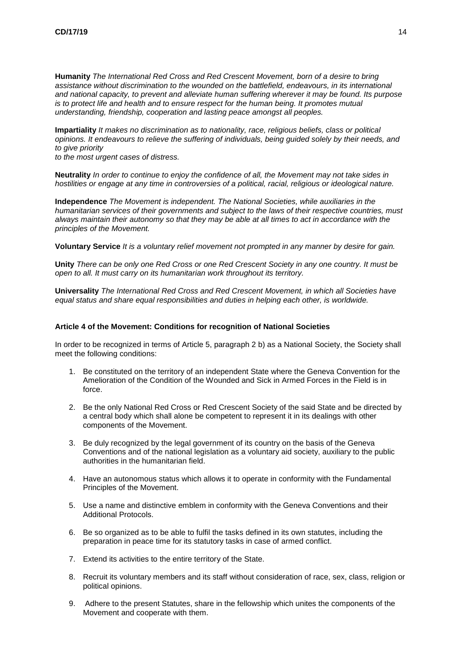**Humanity** *The International Red Cross and Red Crescent Movement, born of a desire to bring assistance without discrimination to the wounded on the battlefield, endeavours, in its international and national capacity, to prevent and alleviate human suffering wherever it may be found. Its purpose is to protect life and health and to ensure respect for the human being. It promotes mutual understanding, friendship, cooperation and lasting peace amongst all peoples.*

**Impartiality** *It makes no discrimination as to nationality, race, religious beliefs, class or political opinions. It endeavours to relieve the suffering of individuals, being guided solely by their needs, and to give priority*

*to the most urgent cases of distress.*

**Neutrality** *In order to continue to enjoy the confidence of all, the Movement may not take sides in hostilities or engage at any time in controversies of a political, racial, religious or ideological nature.*

**Independence** *The Movement is independent. The National Societies, while auxiliaries in the humanitarian services of their governments and subject to the laws of their respective countries, must* always maintain their autonomy so that they may be able at all times to act in accordance with the *principles of the Movement.*

**Voluntary Service** *It is a voluntary relief movement not prompted in any manner by desire for gain.*

Unity There can be only one Red Cross or one Red Crescent Society in any one country. It must be *open to all. It must carry on its humanitarian work throughout its territory.*

**Universality** *The International Red Cross and Red Crescent Movement, in which all Societies have equal status and share equal responsibilities and duties in helping each other, is worldwide.*

#### **Article 4 of the Movement: Conditions for recognition of National Societies**

In order to be recognized in terms of Article 5, paragraph 2 b) as a National Society, the Society shall meet the following conditions:

- 1. Be constituted on the territory of an independent State where the Geneva Convention for the Amelioration of the Condition of the Wounded and Sick in Armed Forces in the Field is in force.
- 2. Be the only National Red Cross or Red Crescent Society of the said State and be directed by a central body which shall alone be competent to represent it in its dealings with other components of the Movement.
- 3. Be duly recognized by the legal government of its country on the basis of the Geneva Conventions and of the national legislation as a voluntary aid society, auxiliary to the public authorities in the humanitarian field.
- 4. Have an autonomous status which allows it to operate in conformity with the Fundamental Principles of the Movement.
- 5. Use a name and distinctive emblem in conformity with the Geneva Conventions and their Additional Protocols.
- 6. Be so organized as to be able to fulfil the tasks defined in its own statutes, including the preparation in peace time for its statutory tasks in case of armed conflict.
- 7. Extend its activities to the entire territory of the State.
- 8. Recruit its voluntary members and its staff without consideration of race, sex, class, religion or political opinions.
- 9. Adhere to the present Statutes, share in the fellowship which unites the components of the Movement and cooperate with them.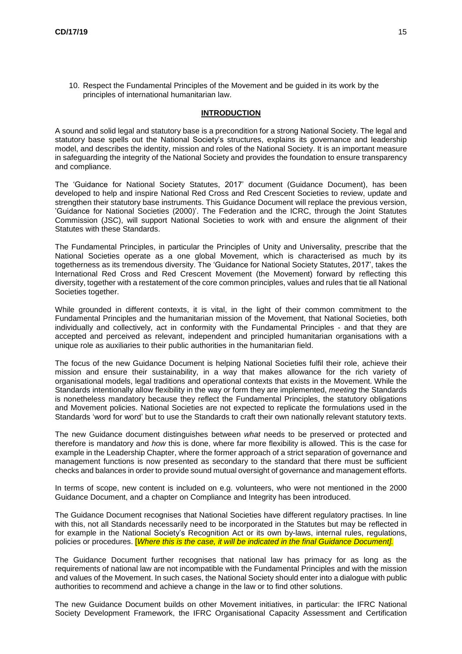10. Respect the Fundamental Principles of the Movement and be guided in its work by the principles of international humanitarian law.

#### **INTRODUCTION**

A sound and solid legal and statutory base is a precondition for a strong National Society. The legal and statutory base spells out the National Society's structures, explains its governance and leadership model, and describes the identity, mission and roles of the National Society. It is an important measure in safeguarding the integrity of the National Society and provides the foundation to ensure transparency and compliance.

The 'Guidance for National Society Statutes, 2017' document (Guidance Document), has been developed to help and inspire National Red Cross and Red Crescent Societies to review, update and strengthen their statutory base instruments. This Guidance Document will replace the previous version, 'Guidance for National Societies (2000)'. The Federation and the ICRC, through the Joint Statutes Commission (JSC), will support National Societies to work with and ensure the alignment of their Statutes with these Standards.

The Fundamental Principles, in particular the Principles of Unity and Universality, prescribe that the National Societies operate as a one global Movement, which is characterised as much by its togetherness as its tremendous diversity. The 'Guidance for National Society Statutes, 2017', takes the International Red Cross and Red Crescent Movement (the Movement) forward by reflecting this diversity, together with a restatement of the core common principles, values and rules that tie all National Societies together.

While grounded in different contexts, it is vital, in the light of their common commitment to the Fundamental Principles and the humanitarian mission of the Movement, that National Societies, both individually and collectively, act in conformity with the Fundamental Principles - and that they are accepted and perceived as relevant, independent and principled humanitarian organisations with a unique role as auxiliaries to their public authorities in the humanitarian field.

The focus of the new Guidance Document is helping National Societies fulfil their role, achieve their mission and ensure their sustainability, in a way that makes allowance for the rich variety of organisational models, legal traditions and operational contexts that exists in the Movement. While the Standards intentionally allow flexibility in the way or form they are implemented, *meeting* the Standards is nonetheless mandatory because they reflect the Fundamental Principles, the statutory obligations and Movement policies. National Societies are not expected to replicate the formulations used in the Standards 'word for word' but to use the Standards to craft their own nationally relevant statutory texts.

The new Guidance document distinguishes between *what* needs to be preserved or protected and therefore is mandatory and *how* this is done, where far more flexibility is allowed. This is the case for example in the Leadership Chapter, where the former approach of a strict separation of governance and management functions is now presented as secondary to the standard that there must be sufficient checks and balances in order to provide sound mutual oversight of governance and management efforts.

In terms of scope, new content is included on e.g. volunteers, who were not mentioned in the 2000 Guidance Document, and a chapter on Compliance and Integrity has been introduced.

The Guidance Document recognises that National Societies have different regulatory practises. In line with this, not all Standards necessarily need to be incorporated in the Statutes but may be reflected in for example in the National Society's Recognition Act or its own by-laws, internal rules, regulations, policies or procedures. [*Where this is the case, it will be indicated in the final Guidance Document].*

The Guidance Document further recognises that national law has primacy for as long as the requirements of national law are not incompatible with the Fundamental Principles and with the mission and values of the Movement. In such cases, the National Society should enter into a dialogue with public authorities to recommend and achieve a change in the law or to find other solutions.

The new Guidance Document builds on other Movement initiatives, in particular: the IFRC National Society Development Framework, the IFRC Organisational Capacity Assessment and Certification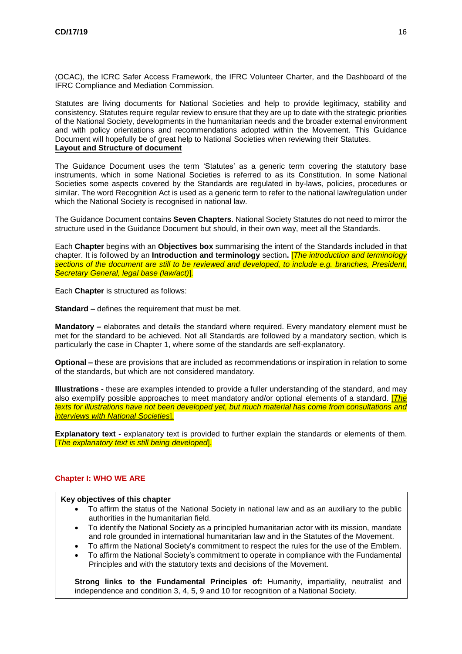(OCAC), the ICRC Safer Access Framework, the IFRC Volunteer Charter, and the Dashboard of the IFRC Compliance and Mediation Commission.

Statutes are living documents for National Societies and help to provide legitimacy, stability and consistency. Statutes require regular review to ensure that they are up to date with the strategic priorities of the National Society, developments in the humanitarian needs and the broader external environment and with policy orientations and recommendations adopted within the Movement. This Guidance Document will hopefully be of great help to National Societies when reviewing their Statutes. **Layout and Structure of document**

The Guidance Document uses the term 'Statutes' as a generic term covering the statutory base instruments, which in some National Societies is referred to as its Constitution. In some National Societies some aspects covered by the Standards are regulated in by-laws, policies, procedures or similar. The word Recognition Act is used as a generic term to refer to the national law/regulation under which the National Society is recognised in national law.

The Guidance Document contains **Seven Chapters**. National Society Statutes do not need to mirror the structure used in the Guidance Document but should, in their own way, meet all the Standards.

Each **Chapter** begins with an **Objectives box** summarising the intent of the Standards included in that chapter. It is followed by an **Introduction and terminology** section**.** [*The introduction and terminology sections of the document are still to be reviewed and developed, to include e.g. branches, President, Secretary General, legal base (law/act)*].

Each **Chapter** is structured as follows:

**Standard –** defines the requirement that must be met.

**Mandatory –** elaborates and details the standard where required. Every mandatory element must be met for the standard to be achieved. Not all Standards are followed by a mandatory section, which is particularly the case in Chapter 1, where some of the standards are self-explanatory.

**Optional –** these are provisions that are included as recommendations or inspiration in relation to some of the standards, but which are not considered mandatory.

**Illustrations -** these are examples intended to provide a fuller understanding of the standard, and may also exemplify possible approaches to meet mandatory and/or optional elements of a standard. [*The texts for illustrations have not been developed yet, but much material has come from consultations and interviews with National Societies*].

**Explanatory text** - explanatory text is provided to further explain the standards or elements of them. [*The explanatory text is still being developed*].

#### **Chapter I: WHO WE ARE**

#### **Key objectives of this chapter**

- To affirm the status of the National Society in national law and as an auxiliary to the public authorities in the humanitarian field.
- To identify the National Society as a principled humanitarian actor with its mission, mandate and role grounded in international humanitarian law and in the Statutes of the Movement.
- To affirm the National Society's commitment to respect the rules for the use of the Emblem.
- To affirm the National Society's commitment to operate in compliance with the Fundamental Principles and with the statutory texts and decisions of the Movement.

**Strong links to the Fundamental Principles of:** Humanity, impartiality, neutralist and independence and condition 3, 4, 5, 9 and 10 for recognition of a National Society.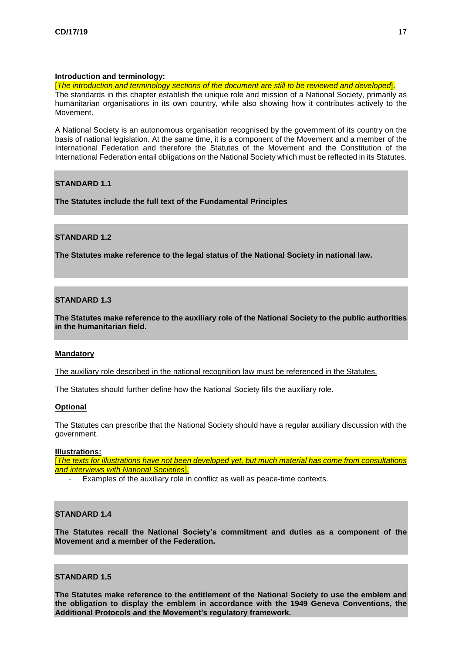#### **Introduction and terminology:**

[*The introduction and terminology sections of the document are still to be reviewed and developed*]. The standards in this chapter establish the unique role and mission of a National Society, primarily as humanitarian organisations in its own country, while also showing how it contributes actively to the Movement.

A National Society is an autonomous organisation recognised by the government of its country on the basis of national legislation. At the same time, it is a component of the Movement and a member of the International Federation and therefore the Statutes of the Movement and the Constitution of the International Federation entail obligations on the National Society which must be reflected in its Statutes.

# **STANDARD 1.1**

**The Statutes include the full text of the Fundamental Principles**

# **STANDARD 1.2**

**The Statutes make reference to the legal status of the National Society in national law.**

## **STANDARD 1.3**

**The Statutes make reference to the auxiliary role of the National Society to the public authorities in the humanitarian field.**

# **Mandatory**

The auxiliary role described in the national recognition law must be referenced in the Statutes.

The Statutes should further define how the National Society fills the auxiliary role.

#### **Optional**

The Statutes can prescribe that the National Society should have a regular auxiliary discussion with the government.

**Illustrations:**

[*The texts for illustrations have not been developed yet, but much material has come from consultations and interviews with National Societies*].

Examples of the auxiliary role in conflict as well as peace-time contexts.

# **STANDARD 1.4**

**The Statutes recall the National Society's commitment and duties as a component of the Movement and a member of the Federation.**

# **STANDARD 1.5**

**The Statutes make reference to the entitlement of the National Society to use the emblem and the obligation to display the emblem in accordance with the 1949 Geneva Conventions, the Additional Protocols and the Movement's regulatory framework.**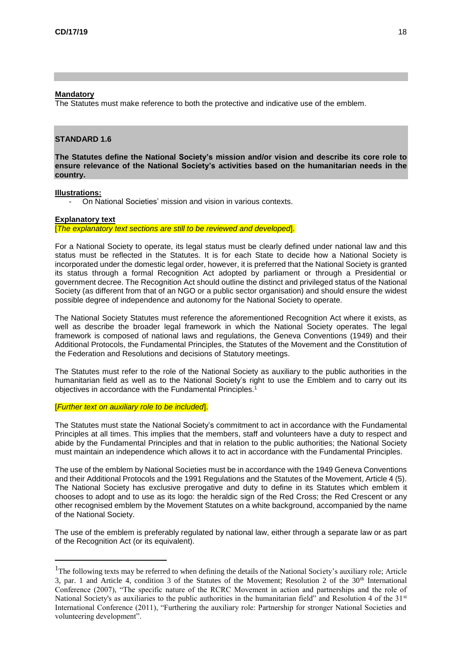#### **Mandatory**

The Statutes must make reference to both the protective and indicative use of the emblem.

# **STANDARD 1.6**

**The Statutes define the National Society's mission and/or vision and describe its core role to ensure relevance of the National Society's activities based on the humanitarian needs in the country.**

### **Illustrations:**

 $\overline{a}$ 

- On National Societies' mission and vision in various contexts.

### **Explanatory text**

[*The explanatory text sections are still to be reviewed and developed*].

For a National Society to operate, its legal status must be clearly defined under national law and this status must be reflected in the Statutes. It is for each State to decide how a National Society is incorporated under the domestic legal order, however, it is preferred that the National Society is granted its status through a formal Recognition Act adopted by parliament or through a Presidential or government decree. The Recognition Act should outline the distinct and privileged status of the National Society (as different from that of an NGO or a public sector organisation) and should ensure the widest possible degree of independence and autonomy for the National Society to operate.

The National Society Statutes must reference the aforementioned Recognition Act where it exists, as well as describe the broader legal framework in which the National Society operates. The legal framework is composed of national laws and regulations, the Geneva Conventions (1949) and their Additional Protocols, the Fundamental Principles, the Statutes of the Movement and the Constitution of the Federation and Resolutions and decisions of Statutory meetings.

The Statutes must refer to the role of the National Society as auxiliary to the public authorities in the humanitarian field as well as to the National Society's right to use the Emblem and to carry out its objectives in accordance with the Fundamental Principles.<sup>1</sup>

#### [*Further text on auxiliary role to be included*].

The Statutes must state the National Society's commitment to act in accordance with the Fundamental Principles at all times. This implies that the members, staff and volunteers have a duty to respect and abide by the Fundamental Principles and that in relation to the public authorities; the National Society must maintain an independence which allows it to act in accordance with the Fundamental Principles.

The use of the emblem by National Societies must be in accordance with the 1949 Geneva Conventions and their Additional Protocols and the 1991 Regulations and the Statutes of the Movement, Article 4 (5). The National Society has exclusive prerogative and duty to define in its Statutes which emblem it chooses to adopt and to use as its logo: the heraldic sign of the Red Cross; the Red Crescent or any other recognised emblem by the Movement Statutes on a white background, accompanied by the name of the National Society.

The use of the emblem is preferably regulated by national law, either through a separate law or as part of the Recognition Act (or its equivalent).

<sup>&</sup>lt;sup>1</sup>The following texts may be referred to when defining the details of the National Society's auxiliary role; Article 3, par. 1 and Article 4, condition 3 of the Statutes of the Movement; Resolution 2 of the 30<sup>th</sup> International Conference (2007), "The specific nature of the RCRC Movement in action and partnerships and the role of National Society's as auxiliaries to the public authorities in the humanitarian field" and Resolution 4 of the 31<sup>st</sup> International Conference (2011), "Furthering the auxiliary role: Partnership for stronger National Societies and volunteering development".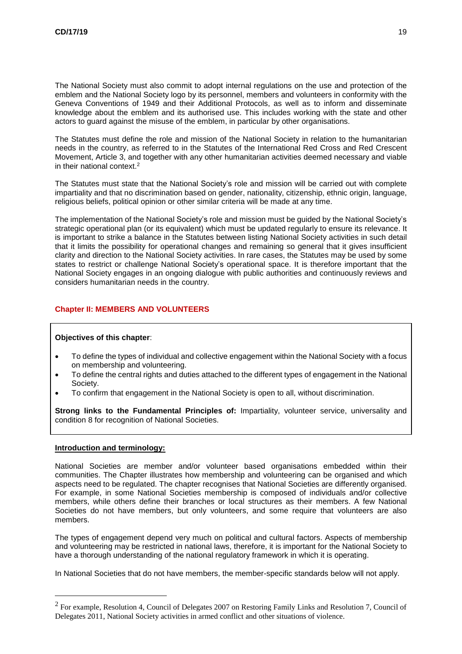The National Society must also commit to adopt internal regulations on the use and protection of the emblem and the National Society logo by its personnel, members and volunteers in conformity with the Geneva Conventions of 1949 and their Additional Protocols, as well as to inform and disseminate knowledge about the emblem and its authorised use. This includes working with the state and other actors to guard against the misuse of the emblem, in particular by other organisations.

The Statutes must define the role and mission of the National Society in relation to the humanitarian needs in the country, as referred to in the Statutes of the International Red Cross and Red Crescent Movement, Article 3, and together with any other humanitarian activities deemed necessary and viable in their national context.<sup>2</sup>

The Statutes must state that the National Society's role and mission will be carried out with complete impartiality and that no discrimination based on gender, nationality, citizenship, ethnic origin, language, religious beliefs, political opinion or other similar criteria will be made at any time.

The implementation of the National Society's role and mission must be guided by the National Society's strategic operational plan (or its equivalent) which must be updated regularly to ensure its relevance. It is important to strike a balance in the Statutes between listing National Society activities in such detail that it limits the possibility for operational changes and remaining so general that it gives insufficient clarity and direction to the National Society activities. In rare cases, the Statutes may be used by some states to restrict or challenge National Society's operational space. It is therefore important that the National Society engages in an ongoing dialogue with public authorities and continuously reviews and considers humanitarian needs in the country.

# **Chapter II: MEMBERS AND VOLUNTEERS**

# **Objectives of this chapter**:

- To define the types of individual and collective engagement within the National Society with a focus on membership and volunteering.
- To define the central rights and duties attached to the different types of engagement in the National Society.
- To confirm that engagement in the National Society is open to all, without discrimination.

**Strong links to the Fundamental Principles of:** Impartiality, volunteer service, universality and condition 8 for recognition of National Societies.

# **Introduction and terminology:**

 $\overline{a}$ 

National Societies are member and/or volunteer based organisations embedded within their communities. The Chapter illustrates how membership and volunteering can be organised and which aspects need to be regulated. The chapter recognises that National Societies are differently organised. For example, in some National Societies membership is composed of individuals and/or collective members, while others define their branches or local structures as their members. A few National Societies do not have members, but only volunteers, and some require that volunteers are also members.

The types of engagement depend very much on political and cultural factors. Aspects of membership and volunteering may be restricted in national laws, therefore, it is important for the National Society to have a thorough understanding of the national regulatory framework in which it is operating.

In National Societies that do not have members, the member-specific standards below will not apply.

 $2$  For example, Resolution 4, Council of Delegates 2007 on Restoring Family Links and Resolution 7, Council of Delegates 2011, National Society activities in armed conflict and other situations of violence.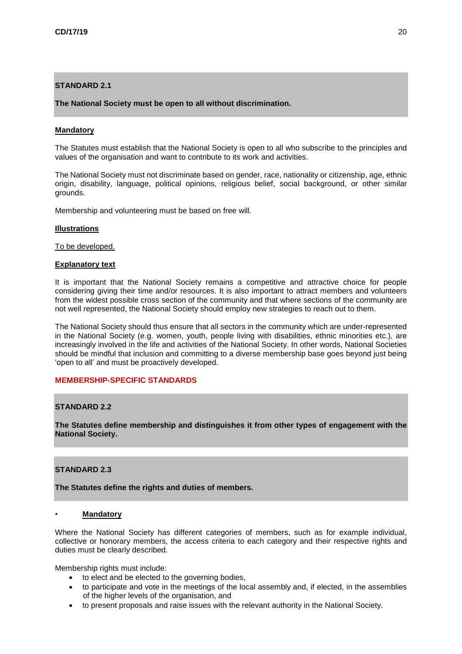### **STANDARD 2.1**

**The National Society must be open to all without discrimination.**

#### **Mandatory**

The Statutes must establish that the National Society is open to all who subscribe to the principles and values of the organisation and want to contribute to its work and activities.

The National Society must not discriminate based on gender, race, nationality or citizenship, age, ethnic origin, disability, language, political opinions, religious belief, social background, or other similar grounds.

Membership and volunteering must be based on free will.

#### **Illustrations**

To be developed.

#### **Explanatory text**

It is important that the National Society remains a competitive and attractive choice for people considering giving their time and/or resources. It is also important to attract members and volunteers from the widest possible cross section of the community and that where sections of the community are not well represented, the National Society should employ new strategies to reach out to them.

The National Society should thus ensure that all sectors in the community which are under-represented in the National Society (e.g. women, youth, people living with disabilities, ethnic minorities etc.), are increasingly involved in the life and activities of the National Society. In other words, National Societies should be mindful that inclusion and committing to a diverse membership base goes beyond just being 'open to all' and must be proactively developed.

#### **MEMBERSHIP-SPECIFIC STANDARDS**

#### **STANDARD 2.2**

**The Statutes define membership and distinguishes it from other types of engagement with the National Society.**

# **STANDARD 2.3**

**The Statutes define the rights and duties of members.**

#### • **Mandatory**

Where the National Society has different categories of members, such as for example individual, collective or honorary members, the access criteria to each category and their respective rights and duties must be clearly described.

Membership rights must include:

- to elect and be elected to the governing bodies,
- to participate and vote in the meetings of the local assembly and, if elected, in the assemblies of the higher levels of the organisation, and
- to present proposals and raise issues with the relevant authority in the National Society.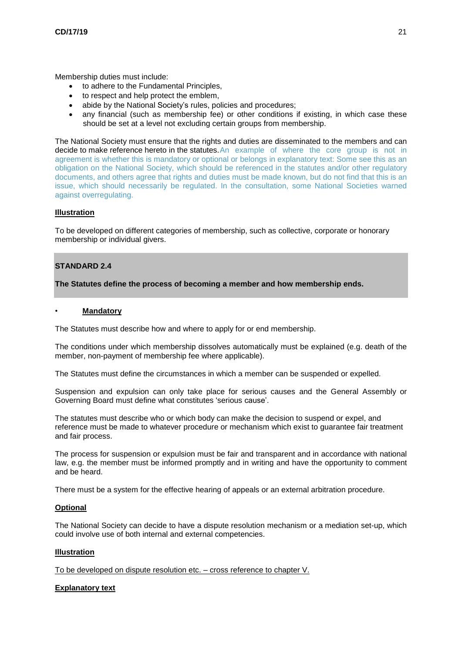Membership duties must include:

- to adhere to the Fundamental Principles,
- to respect and help protect the emblem,
- abide by the National Society's rules, policies and procedures;
- any financial (such as membership fee) or other conditions if existing, in which case these should be set at a level not excluding certain groups from membership.

The National Society must ensure that the rights and duties are disseminated to the members and can decide to make reference hereto in the statutes.An example of where the core group is not in agreement is whether this is mandatory or optional or belongs in explanatory text: Some see this as an obligation on the National Society, which should be referenced in the statutes and/or other regulatory documents, and others agree that rights and duties must be made known, but do not find that this is an issue, which should necessarily be regulated. In the consultation, some National Societies warned against overregulating.

### **Illustration**

To be developed on different categories of membership, such as collective, corporate or honorary membership or individual givers.

# **STANDARD 2.4**

**The Statutes define the process of becoming a member and how membership ends.**

#### • **Mandatory**

The Statutes must describe how and where to apply for or end membership.

The conditions under which membership dissolves automatically must be explained (e.g. death of the member, non-payment of membership fee where applicable).

The Statutes must define the circumstances in which a member can be suspended or expelled.

Suspension and expulsion can only take place for serious causes and the General Assembly or Governing Board must define what constitutes 'serious cause'.

The statutes must describe who or which body can make the decision to suspend or expel, and reference must be made to whatever procedure or mechanism which exist to guarantee fair treatment and fair process.

The process for suspension or expulsion must be fair and transparent and in accordance with national law, e.g. the member must be informed promptly and in writing and have the opportunity to comment and be heard.

There must be a system for the effective hearing of appeals or an external arbitration procedure.

#### **Optional**

The National Society can decide to have a dispute resolution mechanism or a mediation set-up, which could involve use of both internal and external competencies.

#### **Illustration**

To be developed on dispute resolution etc. – cross reference to chapter V.

#### **Explanatory text**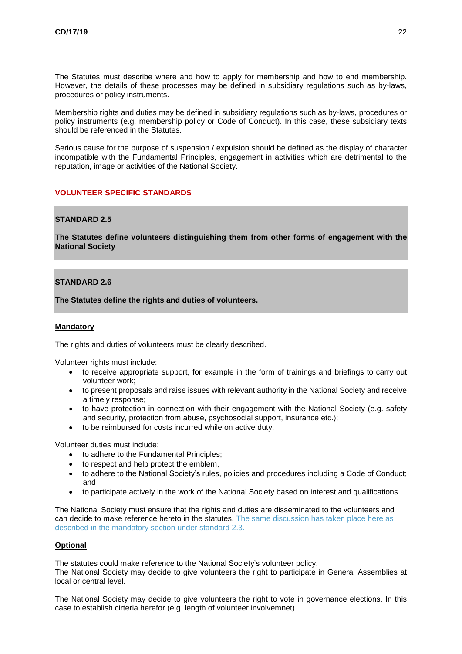The Statutes must describe where and how to apply for membership and how to end membership. However, the details of these processes may be defined in subsidiary regulations such as by-laws, procedures or policy instruments.

Membership rights and duties may be defined in subsidiary regulations such as by-laws, procedures or policy instruments (e.g. membership policy or Code of Conduct). In this case, these subsidiary texts should be referenced in the Statutes.

Serious cause for the purpose of suspension / expulsion should be defined as the display of character incompatible with the Fundamental Principles, engagement in activities which are detrimental to the reputation, image or activities of the National Society.

# **VOLUNTEER SPECIFIC STANDARDS**

# **STANDARD 2.5**

**The Statutes define volunteers distinguishing them from other forms of engagement with the National Society**

# **STANDARD 2.6**

**The Statutes define the rights and duties of volunteers.**

## **Mandatory**

The rights and duties of volunteers must be clearly described.

Volunteer rights must include:

- to receive appropriate support, for example in the form of trainings and briefings to carry out volunteer work;
- to present proposals and raise issues with relevant authority in the National Society and receive a timely response;
- to have protection in connection with their engagement with the National Society (e.g. safety and security, protection from abuse, psychosocial support, insurance etc.);
- to be reimbursed for costs incurred while on active duty.

Volunteer duties must include:

- to adhere to the Fundamental Principles;
- to respect and help protect the emblem,
- to adhere to the National Society's rules, policies and procedures including a Code of Conduct; and
- to participate actively in the work of the National Society based on interest and qualifications.

The National Society must ensure that the rights and duties are disseminated to the volunteers and can decide to make reference hereto in the statutes. The same discussion has taken place here as described in the mandatory section under standard 2.3.

#### **Optional**

The statutes could make reference to the National Society's volunteer policy. The National Society may decide to give volunteers the right to participate in General Assemblies at local or central level.

The National Society may decide to give volunteers the right to vote in governance elections. In this case to establish cirteria herefor (e.g. length of volunteer involvemnet).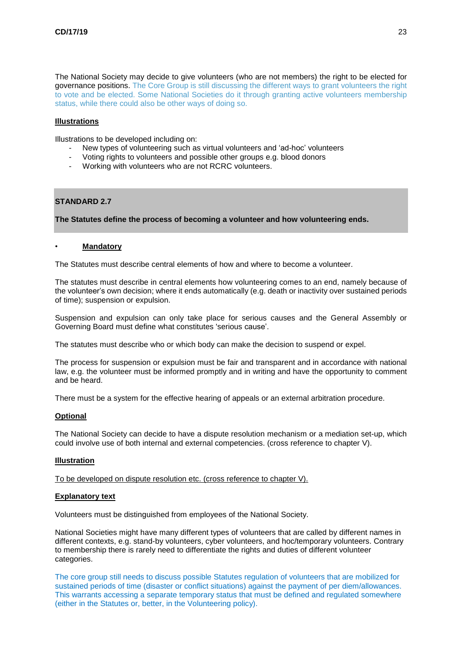The National Society may decide to give volunteers (who are not members) the right to be elected for governance positions. The Core Group is still discussing the different ways to grant volunteers the right to vote and be elected. Some National Societies do it through granting active volunteers membership status, while there could also be other ways of doing so.

#### **Illustrations**

Illustrations to be developed including on:

- New types of volunteering such as virtual volunteers and 'ad-hoc' volunteers
- Voting rights to volunteers and possible other groups e.g. blood donors
- Working with volunteers who are not RCRC volunteers.

# **STANDARD 2.7**

**The Statutes define the process of becoming a volunteer and how volunteering ends.**

#### • **Mandatory**

The Statutes must describe central elements of how and where to become a volunteer.

The statutes must describe in central elements how volunteering comes to an end, namely because of the volunteer's own decision; where it ends automatically (e.g. death or inactivity over sustained periods of time); suspension or expulsion.

Suspension and expulsion can only take place for serious causes and the General Assembly or Governing Board must define what constitutes 'serious cause'.

The statutes must describe who or which body can make the decision to suspend or expel.

The process for suspension or expulsion must be fair and transparent and in accordance with national law, e.g. the volunteer must be informed promptly and in writing and have the opportunity to comment and be heard.

There must be a system for the effective hearing of appeals or an external arbitration procedure.

#### **Optional**

The National Society can decide to have a dispute resolution mechanism or a mediation set-up, which could involve use of both internal and external competencies. (cross reference to chapter V).

#### **Illustration**

To be developed on dispute resolution etc. (cross reference to chapter V).

#### **Explanatory text**

Volunteers must be distinguished from employees of the National Society.

National Societies might have many different types of volunteers that are called by different names in different contexts, e.g. stand-by volunteers, cyber volunteers, and hoc/temporary volunteers. Contrary to membership there is rarely need to differentiate the rights and duties of different volunteer categories.

The core group still needs to discuss possible Statutes regulation of volunteers that are mobilized for sustained periods of time (disaster or conflict situations) against the payment of per diem/allowances. This warrants accessing a separate temporary status that must be defined and regulated somewhere (either in the Statutes or, better, in the Volunteering policy).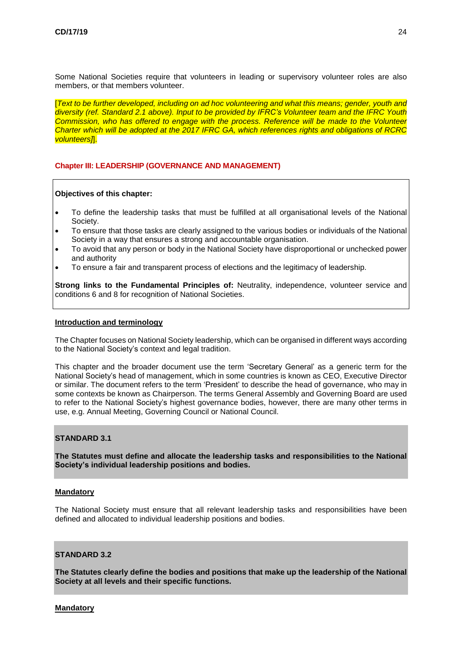Some National Societies require that volunteers in leading or supervisory volunteer roles are also members, or that members volunteer.

[*Text to be further developed, including on ad hoc volunteering and what this means; gender, youth and diversity (ref. Standard 2.1 above). Input to be provided by IFRC's Volunteer team and the IFRC Youth Commission, who has offered to engage with the process. Reference will be made to the Volunteer Charter which will be adopted at the 2017 IFRC GA, which references rights and obligations of RCRC volunteers]*].

### **Chapter III: LEADERSHIP (GOVERNANCE AND MANAGEMENT)**

#### **Objectives of this chapter:**

- To define the leadership tasks that must be fulfilled at all organisational levels of the National Society.
- To ensure that those tasks are clearly assigned to the various bodies or individuals of the National Society in a way that ensures a strong and accountable organisation.
- To avoid that any person or body in the National Society have disproportional or unchecked power and authority
- To ensure a fair and transparent process of elections and the legitimacy of leadership.

**Strong links to the Fundamental Principles of:** Neutrality, independence, volunteer service and conditions 6 and 8 for recognition of National Societies.

#### **Introduction and terminology**

The Chapter focuses on National Society leadership, which can be organised in different ways according to the National Society's context and legal tradition.

This chapter and the broader document use the term 'Secretary General' as a generic term for the National Society's head of management, which in some countries is known as CEO, Executive Director or similar. The document refers to the term 'President' to describe the head of governance, who may in some contexts be known as Chairperson. The terms General Assembly and Governing Board are used to refer to the National Society's highest governance bodies, however, there are many other terms in use, e.g. Annual Meeting, Governing Council or National Council.

# **STANDARD 3.1**

**The Statutes must define and allocate the leadership tasks and responsibilities to the National Society's individual leadership positions and bodies.**

#### **Mandatory**

The National Society must ensure that all relevant leadership tasks and responsibilities have been defined and allocated to individual leadership positions and bodies.

#### **STANDARD 3.2**

**The Statutes clearly define the bodies and positions that make up the leadership of the National Society at all levels and their specific functions.**

**Mandatory**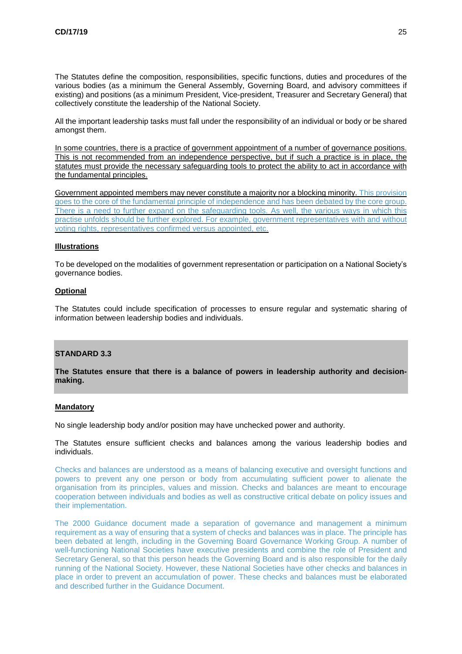The Statutes define the composition, responsibilities, specific functions, duties and procedures of the various bodies (as a minimum the General Assembly, Governing Board, and advisory committees if existing) and positions (as a minimum President, Vice-president, Treasurer and Secretary General) that collectively constitute the leadership of the National Society.

All the important leadership tasks must fall under the responsibility of an individual or body or be shared amongst them.

In some countries, there is a practice of government appointment of a number of governance positions. This is not recommended from an independence perspective, but if such a practice is in place, the statutes must provide the necessary safeguarding tools to protect the ability to act in accordance with the fundamental principles.

Government appointed members may never constitute a majority nor a blocking minority. This provision goes to the core of the fundamental principle of independence and has been debated by the core group. There is a need to further expand on the safeguarding tools. As well, the various ways in which this practise unfolds should be further explored. For example, government representatives with and without voting rights, representatives confirmed versus appointed, etc.

#### **Illustrations**

To be developed on the modalities of government representation or participation on a National Society's governance bodies.

#### **Optional**

The Statutes could include specification of processes to ensure regular and systematic sharing of information between leadership bodies and individuals.

#### **STANDARD 3.3**

**The Statutes ensure that there is a balance of powers in leadership authority and decisionmaking.**

#### **Mandatory**

No single leadership body and/or position may have unchecked power and authority.

The Statutes ensure sufficient checks and balances among the various leadership bodies and individuals.

Checks and balances are understood as a means of balancing executive and oversight functions and powers to prevent any one person or body from accumulating sufficient power to alienate the organisation from its principles, values and mission. Checks and balances are meant to encourage cooperation between individuals and bodies as well as constructive critical debate on policy issues and their implementation.

The 2000 Guidance document made a separation of governance and management a minimum requirement as a way of ensuring that a system of checks and balances was in place. The principle has been debated at length, including in the Governing Board Governance Working Group. A number of well-functioning National Societies have executive presidents and combine the role of President and Secretary General, so that this person heads the Governing Board and is also responsible for the daily running of the National Society. However, these National Societies have other checks and balances in place in order to prevent an accumulation of power. These checks and balances must be elaborated and described further in the Guidance Document.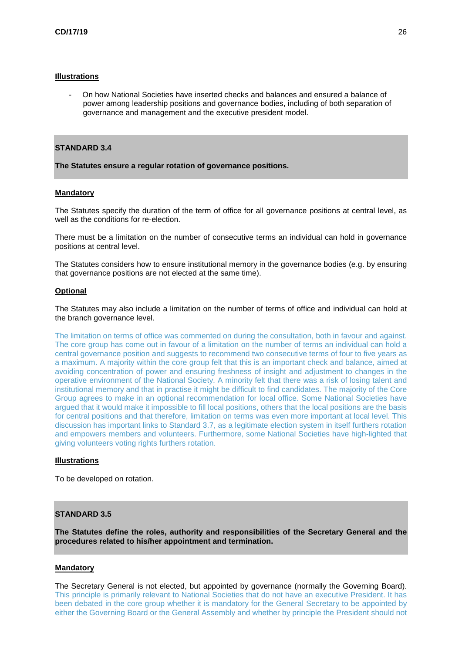#### **Illustrations**

- On how National Societies have inserted checks and balances and ensured a balance of power among leadership positions and governance bodies, including of both separation of governance and management and the executive president model.

## **STANDARD 3.4**

**The Statutes ensure a regular rotation of governance positions.**

#### **Mandatory**

The Statutes specify the duration of the term of office for all governance positions at central level, as well as the conditions for re-election.

There must be a limitation on the number of consecutive terms an individual can hold in governance positions at central level.

The Statutes considers how to ensure institutional memory in the governance bodies (e.g. by ensuring that governance positions are not elected at the same time).

### **Optional**

The Statutes may also include a limitation on the number of terms of office and individual can hold at the branch governance level.

The limitation on terms of office was commented on during the consultation, both in favour and against. The core group has come out in favour of a limitation on the number of terms an individual can hold a central governance position and suggests to recommend two consecutive terms of four to five years as a maximum. A majority within the core group felt that this is an important check and balance, aimed at avoiding concentration of power and ensuring freshness of insight and adjustment to changes in the operative environment of the National Society. A minority felt that there was a risk of losing talent and institutional memory and that in practise it might be difficult to find candidates. The majority of the Core Group agrees to make in an optional recommendation for local office. Some National Societies have argued that it would make it impossible to fill local positions, others that the local positions are the basis for central positions and that therefore, limitation on terms was even more important at local level. This discussion has important links to Standard 3.7, as a legitimate election system in itself furthers rotation and empowers members and volunteers. Furthermore, some National Societies have high-lighted that giving volunteers voting rights furthers rotation.

#### **Illustrations**

To be developed on rotation.

# **STANDARD 3.5**

**The Statutes define the roles, authority and responsibilities of the Secretary General and the procedures related to his/her appointment and termination.**

#### **Mandatory**

The Secretary General is not elected, but appointed by governance (normally the Governing Board). This principle is primarily relevant to National Societies that do not have an executive President. It has been debated in the core group whether it is mandatory for the General Secretary to be appointed by either the Governing Board or the General Assembly and whether by principle the President should not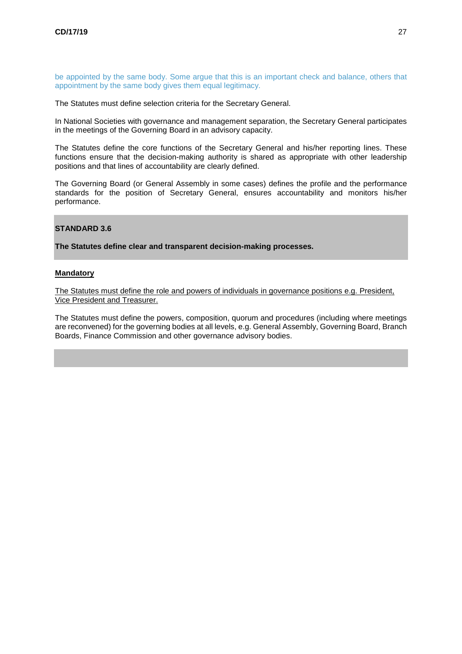be appointed by the same body. Some argue that this is an important check and balance, others that appointment by the same body gives them equal legitimacy.

The Statutes must define selection criteria for the Secretary General.

In National Societies with governance and management separation, the Secretary General participates in the meetings of the Governing Board in an advisory capacity.

The Statutes define the core functions of the Secretary General and his/her reporting lines. These functions ensure that the decision-making authority is shared as appropriate with other leadership positions and that lines of accountability are clearly defined.

The Governing Board (or General Assembly in some cases) defines the profile and the performance standards for the position of Secretary General, ensures accountability and monitors his/her performance.

# **STANDARD 3.6**

**The Statutes define clear and transparent decision-making processes.**

#### **Mandatory**

The Statutes must define the role and powers of individuals in governance positions e.g. President, Vice President and Treasurer.

The Statutes must define the powers, composition, quorum and procedures (including where meetings are reconvened) for the governing bodies at all levels, e.g. General Assembly, Governing Board, Branch Boards, Finance Commission and other governance advisory bodies.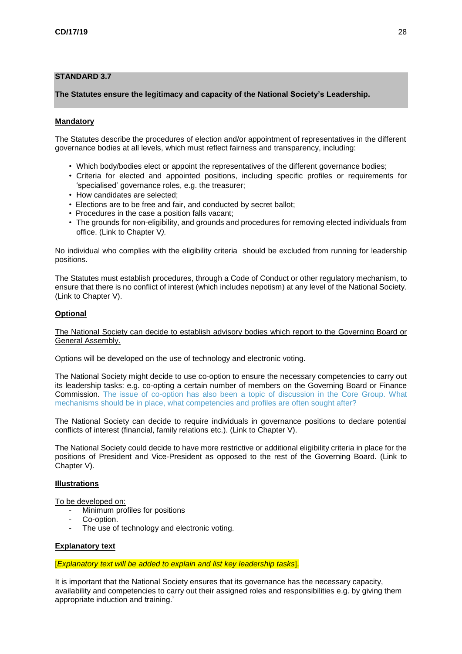#### **STANDARD 3.7**

**The Statutes ensure the legitimacy and capacity of the National Society's Leadership.**

## **Mandatory**

The Statutes describe the procedures of election and/or appointment of representatives in the different governance bodies at all levels, which must reflect fairness and transparency, including:

- Which body/bodies elect or appoint the representatives of the different governance bodies;
- Criteria for elected and appointed positions, including specific profiles or requirements for 'specialised' governance roles, e.g. the treasurer;
- How candidates are selected;
- Elections are to be free and fair, and conducted by secret ballot;
- Procedures in the case a position falls vacant;
- The grounds for non-eligibility, and grounds and procedures for removing elected individuals from office. (Link to Chapter V*).*

No individual who complies with the eligibility criteria should be excluded from running for leadership positions.

The Statutes must establish procedures, through a Code of Conduct or other regulatory mechanism, to ensure that there is no conflict of interest (which includes nepotism) at any level of the National Society. (Link to Chapter V).

### **Optional**

The National Society can decide to establish advisory bodies which report to the Governing Board or General Assembly.

Options will be developed on the use of technology and electronic voting.

The National Society might decide to use co-option to ensure the necessary competencies to carry out its leadership tasks: e.g. co-opting a certain number of members on the Governing Board or Finance Commission. The issue of co-option has also been a topic of discussion in the Core Group. What mechanisms should be in place, what competencies and profiles are often sought after?

The National Society can decide to require individuals in governance positions to declare potential conflicts of interest (financial, family relations etc.). (Link to Chapter V).

The National Society could decide to have more restrictive or additional eligibility criteria in place for the positions of President and Vice-President as opposed to the rest of the Governing Board. (Link to Chapter V).

#### **Illustrations**

To be developed on:

- Minimum profiles for positions
- Co-option.
- The use of technology and electronic voting.

#### **Explanatory text**

[*Explanatory text will be added to explain and list key leadership tasks*].

It is important that the National Society ensures that its governance has the necessary capacity, availability and competencies to carry out their assigned roles and responsibilities e.g. by giving them appropriate induction and training.'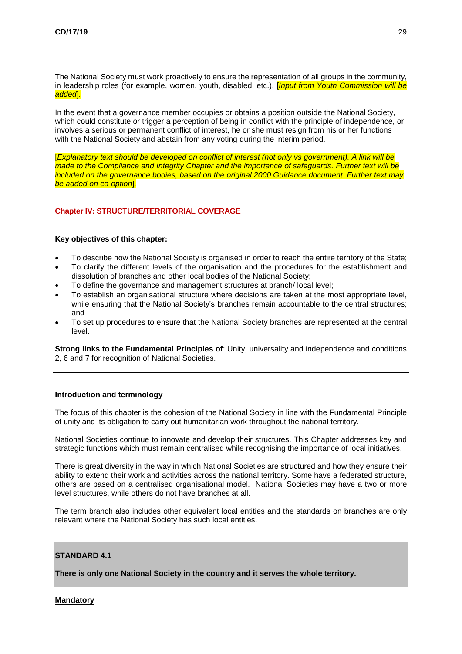The National Society must work proactively to ensure the representation of all groups in the community, in leadership roles (for example, women, youth, disabled, etc.). [*Input from Youth Commission will be added*].

In the event that a governance member occupies or obtains a position outside the National Society, which could constitute or trigger a perception of being in conflict with the principle of independence, or involves a serious or permanent conflict of interest, he or she must resign from his or her functions with the National Society and abstain from any voting during the interim period.

[*Explanatory text should be developed on conflict of interest (not only vs government). A link will be made to the Compliance and Integrity Chapter and the importance of safeguards. Further text will be included on the governance bodies, based on the original 2000 Guidance document. Further text may be added on co-option*]*.*

# **Chapter IV: STRUCTURE/TERRITORIAL COVERAGE**

### **Key objectives of this chapter:**

- To describe how the National Society is organised in order to reach the entire territory of the State;
- To clarify the different levels of the organisation and the procedures for the establishment and dissolution of branches and other local bodies of the National Society;
- To define the governance and management structures at branch/ local level;
- To establish an organisational structure where decisions are taken at the most appropriate level, while ensuring that the National Society's branches remain accountable to the central structures; and
- To set up procedures to ensure that the National Society branches are represented at the central level.

**Strong links to the Fundamental Principles of**: Unity, universality and independence and conditions 2, 6 and 7 for recognition of National Societies.

# **Introduction and terminology**

The focus of this chapter is the cohesion of the National Society in line with the Fundamental Principle of unity and its obligation to carry out humanitarian work throughout the national territory.

National Societies continue to innovate and develop their structures. This Chapter addresses key and strategic functions which must remain centralised while recognising the importance of local initiatives.

There is great diversity in the way in which National Societies are structured and how they ensure their ability to extend their work and activities across the national territory. Some have a federated structure, others are based on a centralised organisational model. National Societies may have a two or more level structures, while others do not have branches at all.

The term branch also includes other equivalent local entities and the standards on branches are only relevant where the National Society has such local entities.

# **STANDARD 4.1**

**There is only one National Society in the country and it serves the whole territory.**

# **Mandatory**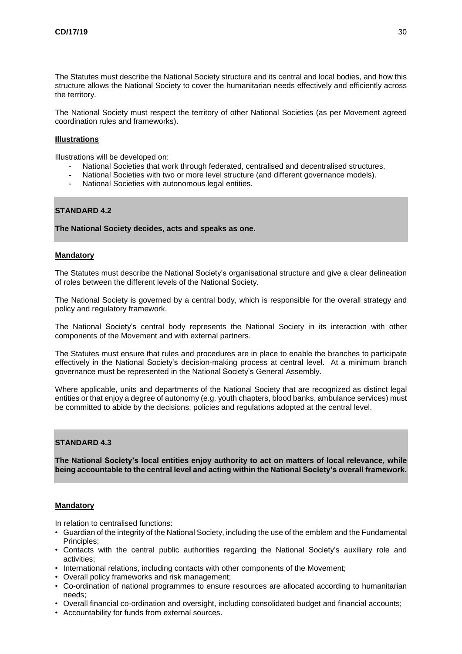The Statutes must describe the National Society structure and its central and local bodies, and how this structure allows the National Society to cover the humanitarian needs effectively and efficiently across the territory.

The National Society must respect the territory of other National Societies (as per Movement agreed coordination rules and frameworks).

#### **Illustrations**

Illustrations will be developed on:

- National Societies that work through federated, centralised and decentralised structures.
- National Societies with two or more level structure (and different governance models).
- National Societies with autonomous legal entities.

## **STANDARD 4.2**

**The National Society decides, acts and speaks as one.**

#### **Mandatory**

The Statutes must describe the National Society's organisational structure and give a clear delineation of roles between the different levels of the National Society.

The National Society is governed by a central body, which is responsible for the overall strategy and policy and regulatory framework.

The National Society's central body represents the National Society in its interaction with other components of the Movement and with external partners.

The Statutes must ensure that rules and procedures are in place to enable the branches to participate effectively in the National Society's decision-making process at central level. At a minimum branch governance must be represented in the National Society's General Assembly.

Where applicable, units and departments of the National Society that are recognized as distinct legal entities or that enjoy a degree of autonomy (e.g. youth chapters, blood banks, ambulance services) must be committed to abide by the decisions, policies and regulations adopted at the central level.

#### **STANDARD 4.3**

**The National Society's local entities enjoy authority to act on matters of local relevance, while being accountable to the central level and acting within the National Society's overall framework.**

#### **Mandatory**

In relation to centralised functions:

- Guardian of the integrity of the National Society, including the use of the emblem and the Fundamental Principles;
- Contacts with the central public authorities regarding the National Society's auxiliary role and activities;
- International relations, including contacts with other components of the Movement;
- Overall policy frameworks and risk management;
- Co-ordination of national programmes to ensure resources are allocated according to humanitarian needs;
- Overall financial co-ordination and oversight, including consolidated budget and financial accounts;
- Accountability for funds from external sources.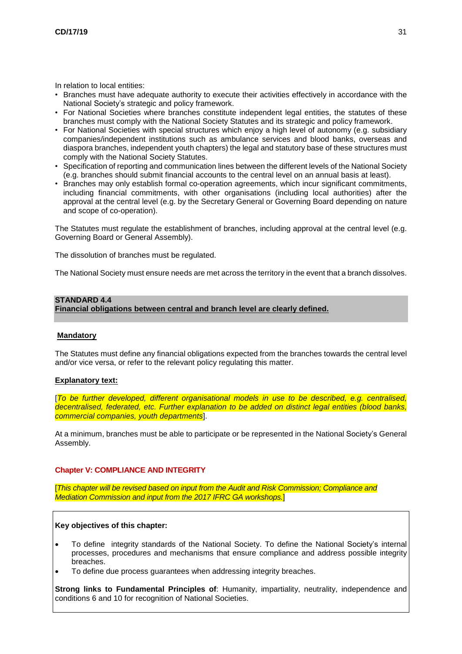In relation to local entities:

- Branches must have adequate authority to execute their activities effectively in accordance with the National Society's strategic and policy framework.
- For National Societies where branches constitute independent legal entities, the statutes of these branches must comply with the National Society Statutes and its strategic and policy framework.
- For National Societies with special structures which enjoy a high level of autonomy (e.g. subsidiary companies/independent institutions such as ambulance services and blood banks, overseas and diaspora branches, independent youth chapters) the legal and statutory base of these structures must comply with the National Society Statutes.
- Specification of reporting and communication lines between the different levels of the National Society (e.g. branches should submit financial accounts to the central level on an annual basis at least).
- Branches may only establish formal co-operation agreements, which incur significant commitments, including financial commitments, with other organisations (including local authorities) after the approval at the central level (e.g. by the Secretary General or Governing Board depending on nature and scope of co-operation).

The Statutes must regulate the establishment of branches, including approval at the central level (e.g. Governing Board or General Assembly).

The dissolution of branches must be regulated.

The National Society must ensure needs are met across the territory in the event that a branch dissolves.

# **STANDARD 4.4**

**Financial obligations between central and branch level are clearly defined.**

# **Mandatory**

The Statutes must define any financial obligations expected from the branches towards the central level and/or vice versa, or refer to the relevant policy regulating this matter.

# **Explanatory text:**

[*To be further developed, different organisational models in use to be described, e.g. centralised, decentralised, federated, etc. Further explanation to be added on distinct legal entities (blood banks, commercial companies, youth departments*].

At a minimum, branches must be able to participate or be represented in the National Society's General Assembly.

# **Chapter V: COMPLIANCE AND INTEGRITY**

[*This chapter will be revised based on input from the Audit and Risk Commission; Compliance and Mediation Commission and input from the 2017 IFRC GA workshops.*]

#### **Key objectives of this chapter:**

- To define integrity standards of the National Society. To define the National Society's internal processes, procedures and mechanisms that ensure compliance and address possible integrity breaches.
- To define due process guarantees when addressing integrity breaches.

**Strong links to Fundamental Principles of**: Humanity, impartiality, neutrality, independence and conditions 6 and 10 for recognition of National Societies.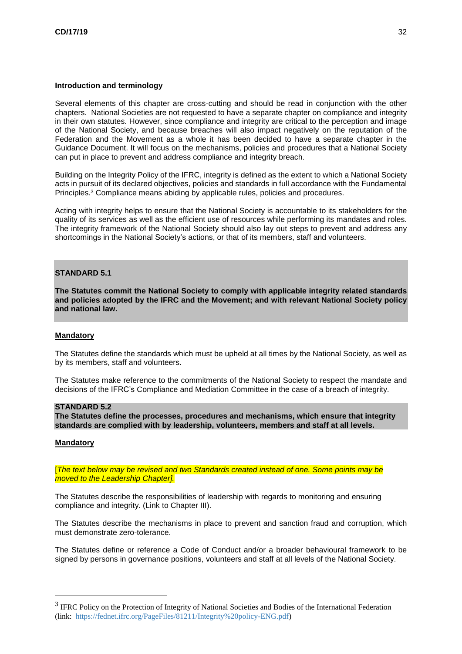#### **Introduction and terminology**

Several elements of this chapter are cross-cutting and should be read in conjunction with the other chapters. National Societies are not requested to have a separate chapter on compliance and integrity in their own statutes. However, since compliance and integrity are critical to the perception and image of the National Society, and because breaches will also impact negatively on the reputation of the Federation and the Movement as a whole it has been decided to have a separate chapter in the Guidance Document. It will focus on the mechanisms, policies and procedures that a National Society can put in place to prevent and address compliance and integrity breach.

Building on the Integrity Policy of the IFRC, integrity is defined as the extent to which a National Society acts in pursuit of its declared objectives, policies and standards in full accordance with the Fundamental Principles.<sup>3</sup> Compliance means abiding by applicable rules, policies and procedures.

Acting with integrity helps to ensure that the National Society is accountable to its stakeholders for the quality of its services as well as the efficient use of resources while performing its mandates and roles. The integrity framework of the National Society should also lay out steps to prevent and address any shortcomings in the National Society's actions, or that of its members, staff and volunteers.

#### **STANDARD 5.1**

**The Statutes commit the National Society to comply with applicable integrity related standards and policies adopted by the IFRC and the Movement; and with relevant National Society policy and national law.**

#### **Mandatory**

The Statutes define the standards which must be upheld at all times by the National Society, as well as by its members, staff and volunteers.

The Statutes make reference to the commitments of the National Society to respect the mandate and decisions of the IFRC's Compliance and Mediation Committee in the case of a breach of integrity.

#### **STANDARD 5.2**

**The Statutes define the processes, procedures and mechanisms, which ensure that integrity standards are complied with by leadership, volunteers, members and staff at all levels.**

#### **Mandatory**

 $\overline{a}$ 

[*The text below may be revised and two Standards created instead of one. Some points may be moved to the Leadership Chapter].*

The Statutes describe the responsibilities of leadership with regards to monitoring and ensuring compliance and integrity. (Link to Chapter III).

The Statutes describe the mechanisms in place to prevent and sanction fraud and corruption, which must demonstrate zero-tolerance.

The Statutes define or reference a Code of Conduct and/or a broader behavioural framework to be signed by persons in governance positions, volunteers and staff at all levels of the National Society.

<sup>&</sup>lt;sup>3</sup> IFRC Policy on the Protection of Integrity of National Societies and Bodies of the International Federation (link: [https://fednet.ifrc.org/PageFiles/81211/Integrity%20policy-ENG.pdf\)](https://fednet.ifrc.org/PageFiles/81211/Integrity%2525252525252520policy-ENG.pdf)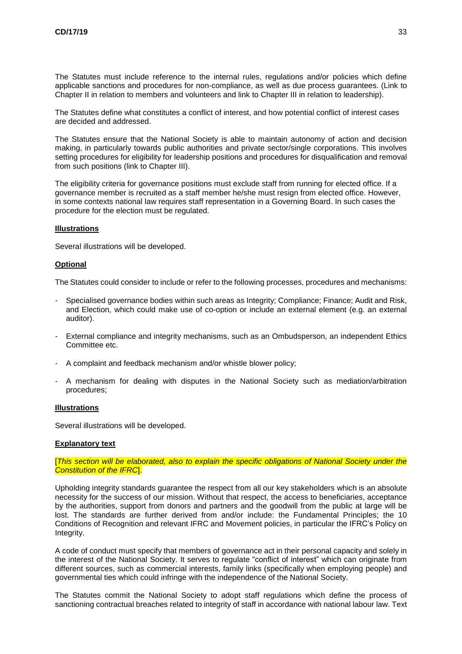The Statutes must include reference to the internal rules, regulations and/or policies which define applicable sanctions and procedures for non-compliance, as well as due process guarantees. (Link to Chapter II in relation to members and volunteers and link to Chapter III in relation to leadership).

The Statutes define what constitutes a conflict of interest, and how potential conflict of interest cases are decided and addressed.

The Statutes ensure that the National Society is able to maintain autonomy of action and decision making, in particularly towards public authorities and private sector/single corporations. This involves setting procedures for eligibility for leadership positions and procedures for disqualification and removal from such positions (link to Chapter III).

The eligibility criteria for governance positions must exclude staff from running for elected office. If a governance member is recruited as a staff member he/she must resign from elected office. However, in some contexts national law requires staff representation in a Governing Board. In such cases the procedure for the election must be regulated.

#### **Illustrations**

Several illustrations will be developed.

#### **Optional**

The Statutes could consider to include or refer to the following processes, procedures and mechanisms:

- Specialised governance bodies within such areas as Integrity; Compliance; Finance; Audit and Risk, and Election, which could make use of co-option or include an external element (e.g. an external auditor).
- External compliance and integrity mechanisms, such as an Ombudsperson, an independent Ethics Committee etc.
- A complaint and feedback mechanism and/or whistle blower policy;
- A mechanism for dealing with disputes in the National Society such as mediation/arbitration procedures;

#### **Illustrations**

Several illustrations will be developed.

#### **Explanatory text**

[*This section will be elaborated, also to explain the specific obligations of National Society under the Constitution of the IFRC*].

Upholding integrity standards guarantee the respect from all our key stakeholders which is an absolute necessity for the success of our mission. Without that respect, the access to beneficiaries, acceptance by the authorities, support from donors and partners and the goodwill from the public at large will be lost. The standards are further derived from and/or include: the Fundamental Principles; the 10 Conditions of Recognition and relevant IFRC and Movement policies, in particular the IFRC's Policy on Integrity.

A code of conduct must specify that members of governance act in their personal capacity and solely in the interest of the National Society. It serves to regulate "conflict of interest" which can originate from different sources, such as commercial interests, family links (specifically when employing people) and governmental ties which could infringe with the independence of the National Society.

The Statutes commit the National Society to adopt staff regulations which define the process of sanctioning contractual breaches related to integrity of staff in accordance with national labour law. Text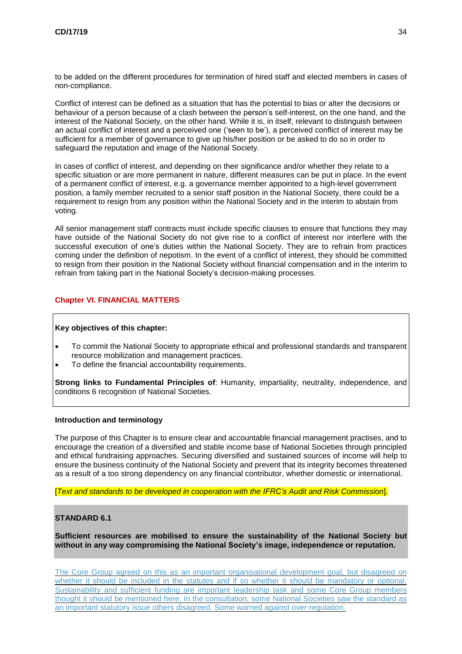to be added on the different procedures for termination of hired staff and elected members in cases of non-compliance.

Conflict of interest can be defined as a situation that has the potential to bias or alter the decisions or behaviour of a person because of a clash between the person's self-interest, on the one hand, and the interest of the National Society, on the other hand. While it is, in itself, relevant to distinguish between an actual conflict of interest and a perceived one ('seen to be'), a perceived conflict of interest may be sufficient for a member of governance to give up his/her position or be asked to do so in order to safeguard the reputation and image of the National Society.

In cases of conflict of interest, and depending on their significance and/or whether they relate to a specific situation or are more permanent in nature, different measures can be put in place. In the event of a permanent conflict of interest, e.g. a governance member appointed to a high-level government position, a family member recruited to a senior staff position in the National Society, there could be a requirement to resign from any position within the National Society and in the interim to abstain from voting.

All senior management staff contracts must include specific clauses to ensure that functions they may have outside of the National Society do not give rise to a conflict of interest nor interfere with the successful execution of one's duties within the National Society. They are to refrain from practices coming under the definition of nepotism. In the event of a conflict of interest, they should be committed to resign from their position in the National Society without financial compensation and in the interim to refrain from taking part in the National Society's decision-making processes.

# **Chapter VI. FINANCIAL MATTERS**

#### **Key objectives of this chapter:**

- To commit the National Society to appropriate ethical and professional standards and transparent resource mobilization and management practices.
- To define the financial accountability requirements.

**Strong links to Fundamental Principles of**: Humanity, impartiality, neutrality, independence, and conditions 6 recognition of National Societies.

#### **Introduction and terminology**

The purpose of this Chapter is to ensure clear and accountable financial management practises, and to encourage the creation of a diversified and stable income base of National Societies through principled and ethical fundraising approaches. Securing diversified and sustained sources of income will help to ensure the business continuity of the National Society and prevent that its integrity becomes threatened as a result of a too strong dependency on any financial contributor, whether domestic or international.

[*Text and standards to be developed in cooperation with the IFRC's Audit and Risk Commission*]*.*

#### **STANDARD 6.1**

**Sufficient resources are mobilised to ensure the sustainability of the National Society but without in any way compromising the National Society's image, independence or reputation.**

The Core Group agreed on this as an important organisational development goal, but disagreed on whether it should be included in the statutes and if so whether it should be mandatory or optional. Sustainability and sufficient funding are important leadership task and some Core Group members thought it should be mentioned here. In the consultation, some National Societies saw the standard as an important statutory issue others disagreed. Some warned against over-regulation.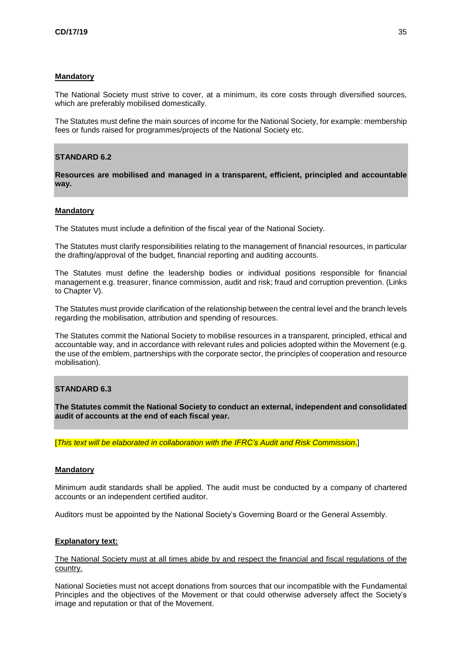#### **Mandatory**

The National Society must strive to cover, at a minimum, its core costs through diversified sources, which are preferably mobilised domestically.

The Statutes must define the main sources of income for the National Society, for example: membership fees or funds raised for programmes/projects of the National Society etc.

#### **STANDARD 6.2**

**Resources are mobilised and managed in a transparent, efficient, principled and accountable way.**

#### **Mandatory**

The Statutes must include a definition of the fiscal year of the National Society.

The Statutes must clarify responsibilities relating to the management of financial resources, in particular the drafting/approval of the budget, financial reporting and auditing accounts.

The Statutes must define the leadership bodies or individual positions responsible for financial management e.g. treasurer, finance commission, audit and risk; fraud and corruption prevention. (Links to Chapter V).

The Statutes must provide clarification of the relationship between the central level and the branch levels regarding the mobilisation, attribution and spending of resources.

The Statutes commit the National Society to mobilise resources in a transparent, principled, ethical and accountable way, and in accordance with relevant rules and policies adopted within the Movement (e.g. the use of the emblem, partnerships with the corporate sector, the principles of cooperation and resource mobilisation).

#### **STANDARD 6.3**

**The Statutes commit the National Society to conduct an external, independent and consolidated audit of accounts at the end of each fiscal year.**

[*This text will be elaborated in collaboration with the IFRC's Audit and Risk Commission*.]

#### **Mandatory**

Minimum audit standards shall be applied. The audit must be conducted by a company of chartered accounts or an independent certified auditor.

Auditors must be appointed by the National Society's Governing Board or the General Assembly.

#### **Explanatory text:**

The National Society must at all times abide by and respect the financial and fiscal regulations of the country.

National Societies must not accept donations from sources that our incompatible with the Fundamental Principles and the objectives of the Movement or that could otherwise adversely affect the Society's image and reputation or that of the Movement.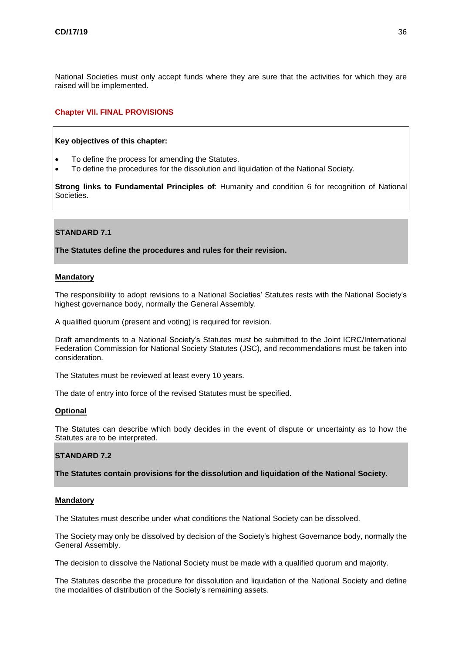National Societies must only accept funds where they are sure that the activities for which they are raised will be implemented.

#### **Chapter VII. FINAL PROVISIONS**

#### **Key objectives of this chapter:**

- To define the process for amending the Statutes.
- To define the procedures for the dissolution and liquidation of the National Society.

**Strong links to Fundamental Principles of**: Humanity and condition 6 for recognition of National Societies.

#### **STANDARD 7.1**

**The Statutes define the procedures and rules for their revision.**

#### **Mandatory**

The responsibility to adopt revisions to a National Societies' Statutes rests with the National Society's highest governance body, normally the General Assembly.

A qualified quorum (present and voting) is required for revision.

Draft amendments to a National Society's Statutes must be submitted to the Joint ICRC/International Federation Commission for National Society Statutes (JSC), and recommendations must be taken into consideration.

The Statutes must be reviewed at least every 10 years.

The date of entry into force of the revised Statutes must be specified.

#### **Optional**

The Statutes can describe which body decides in the event of dispute or uncertainty as to how the Statutes are to be interpreted.

#### **STANDARD 7.2**

**The Statutes contain provisions for the dissolution and liquidation of the National Society.**

#### **Mandatory**

The Statutes must describe under what conditions the National Society can be dissolved.

The Society may only be dissolved by decision of the Society's highest Governance body, normally the General Assembly.

The decision to dissolve the National Society must be made with a qualified quorum and majority.

The Statutes describe the procedure for dissolution and liquidation of the National Society and define the modalities of distribution of the Society's remaining assets.